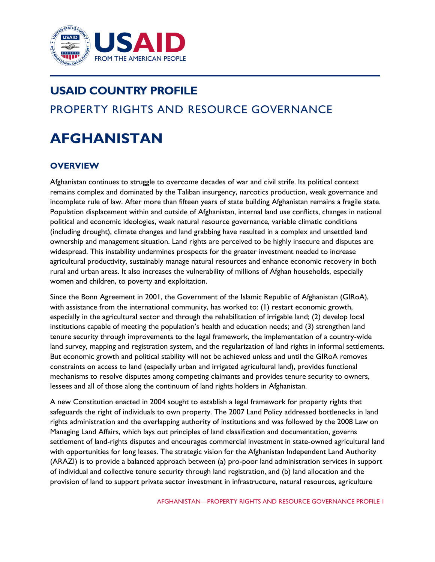

# **USAID COUNTRY PROFILE** PROPERTY RIGHTS AND RESOURCE GOVERNANCE

# **AFGHANISTAN**

# **OVERVIEW**

Afghanistan continues to struggle to overcome decades of war and civil strife. Its political context remains complex and dominated by the Taliban insurgency, narcotics production, weak governance and incomplete rule of law. After more than fifteen years of state building Afghanistan remains a fragile state. Population displacement within and outside of Afghanistan, internal land use conflicts, changes in national political and economic ideologies, weak natural resource governance, variable climatic conditions (including drought), climate changes and land grabbing have resulted in a complex and unsettled land ownership and management situation. Land rights are perceived to be highly insecure and disputes are widespread. This instability undermines prospects for the greater investment needed to increase agricultural productivity, sustainably manage natural resources and enhance economic recovery in both rural and urban areas. It also increases the vulnerability of millions of Afghan households, especially women and children, to poverty and exploitation.

Since the Bonn Agreement in 2001, the Government of the Islamic Republic of Afghanistan (GIRoA), with assistance from the international community, has worked to: (1) restart economic growth, especially in the agricultural sector and through the rehabilitation of irrigable land; (2) develop local institutions capable of meeting the population's health and education needs; and (3) strengthen land tenure security through improvements to the legal framework, the implementation of a country-wide land survey, mapping and registration system, and the regularization of land rights in informal settlements. But economic growth and political stability will not be achieved unless and until the GIRoA removes constraints on access to land (especially urban and irrigated agricultural land), provides functional mechanisms to resolve disputes among competing claimants and provides tenure security to owners, lessees and all of those along the continuum of land rights holders in Afghanistan.

A new Constitution enacted in 2004 sought to establish a legal framework for property rights that safeguards the right of individuals to own property. The 2007 Land Policy addressed bottlenecks in land rights administration and the overlapping authority of institutions and was followed by the 2008 Law on Managing Land Affairs, which lays out principles of land classification and documentation, governs settlement of land-rights disputes and encourages commercial investment in state-owned agricultural land with opportunities for long leases. The strategic vision for the Afghanistan Independent Land Authority (ARAZI) is to provide a balanced approach between (a) pro-poor land administration services in support of individual and collective tenure security through land registration, and (b) land allocation and the provision of land to support private sector investment in infrastructure, natural resources, agriculture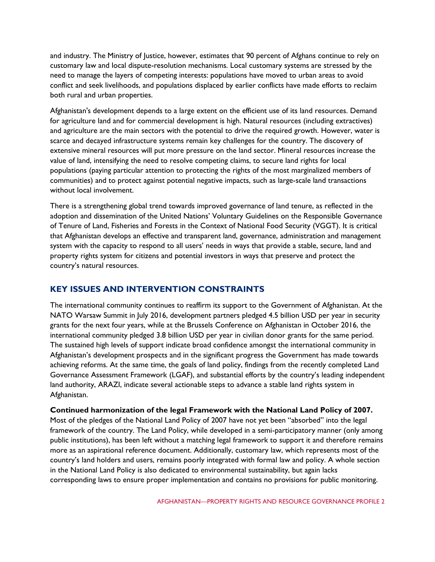and industry. The Ministry of Justice, however, estimates that 90 percent of Afghans continue to rely on customary law and local dispute-resolution mechanisms. Local customary systems are stressed by the need to manage the layers of competing interests: populations have moved to urban areas to avoid conflict and seek livelihoods, and populations displaced by earlier conflicts have made efforts to reclaim both rural and urban properties.

Afghanistan's development depends to a large extent on the efficient use of its land resources. Demand for agriculture land and for commercial development is high. Natural resources (including extractives) and agriculture are the main sectors with the potential to drive the required growth. However, water is scarce and decayed infrastructure systems remain key challenges for the country. The discovery of extensive mineral resources will put more pressure on the land sector. Mineral resources increase the value of land, intensifying the need to resolve competing claims, to secure land rights for local populations (paying particular attention to protecting the rights of the most marginalized members of communities) and to protect against potential negative impacts, such as large-scale land transactions without local involvement.

There is a strengthening global trend towards improved governance of land tenure, as reflected in the adoption and dissemination of the United Nations' Voluntary Guidelines on the Responsible Governance of Tenure of Land, Fisheries and Forests in the Context of National Food Security (VGGT). It is critical that Afghanistan develops an effective and transparent land, governance, administration and management system with the capacity to respond to all users' needs in ways that provide a stable, secure, land and property rights system for citizens and potential investors in ways that preserve and protect the country's natural resources.

# **KEY ISSUES AND INTERVENTION CONSTRAINTS**

The international community continues to reaffirm its support to the Government of Afghanistan. At the NATO Warsaw Summit in July 2016, development partners pledged 4.5 billion USD per year in security grants for the next four years, while at the Brussels Conference on Afghanistan in October 2016, the international community pledged 3.8 billion USD per year in civilian donor grants for the same period. The sustained high levels of support indicate broad confidence amongst the international community in Afghanistan's development prospects and in the significant progress the Government has made towards achieving reforms. At the same time, the goals of land policy, findings from the recently completed Land Governance Assessment Framework (LGAF), and substantial efforts by the country's leading independent land authority, ARAZI, indicate several actionable steps to advance a stable land rights system in Afghanistan.

**Continued harmonization of the legal Framework with the National Land Policy of 2007.** Most of the pledges of the National Land Policy of 2007 have not yet been "absorbed" into the legal framework of the country. The Land Policy, while developed in a semi-participatory manner (only among public institutions), has been left without a matching legal framework to support it and therefore remains more as an aspirational reference document. Additionally, customary law, which represents most of the country's land holders and users, remains poorly integrated with formal law and policy. A whole section in the National Land Policy is also dedicated to environmental sustainability, but again lacks corresponding laws to ensure proper implementation and contains no provisions for public monitoring.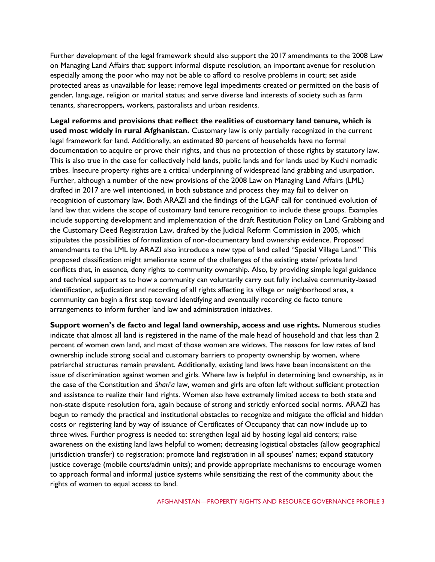Further development of the legal framework should also support the 2017 amendments to the 2008 Law on Managing Land Affairs that: support informal dispute resolution, an important avenue for resolution especially among the poor who may not be able to afford to resolve problems in court; set aside protected areas as unavailable for lease; remove legal impediments created or permitted on the basis of gender, language, religion or marital status; and serve diverse land interests of society such as farm tenants, sharecroppers, workers, pastoralists and urban residents.

**Legal reforms and provisions that reflect the realities of customary land tenure, which is used most widely in rural Afghanistan.** Customary law is only partially recognized in the current legal framework for land. Additionally, an estimated 80 percent of households have no formal documentation to acquire or prove their rights, and thus no protection of those rights by statutory law. This is also true in the case for collectively held lands, public lands and for lands used by Kuchi nomadic tribes. Insecure property rights are a critical underpinning of widespread land grabbing and usurpation. Further, although a number of the new provisions of the 2008 Law on Managing Land Affairs (LML) drafted in 2017 are well intentioned, in both substance and process they may fail to deliver on recognition of customary law. Both ARAZI and the findings of the LGAF call for continued evolution of land law that widens the scope of customary land tenure recognition to include these groups. Examples include supporting development and implementation of the draft Restitution Policy on Land Grabbing and the Customary Deed Registration Law, drafted by the Judicial Reform Commission in 2005, which stipulates the possibilities of formalization of non-documentary land ownership evidence. Proposed amendments to the LML by ARAZI also introduce a new type of land called "Special Village Land." This proposed classification might ameliorate some of the challenges of the existing state/ private land conflicts that, in essence, deny rights to community ownership. Also, by providing simple legal guidance and technical support as to how a community can voluntarily carry out fully inclusive community-based identification, adjudication and recording of all rights affecting its village or neighborhood area, a community can begin a first step toward identifying and eventually recording de facto tenure arrangements to inform further land law and administration initiatives.

**Support women's de facto and legal land ownership, access and use rights.** Numerous studies indicate that almost all land is registered in the name of the male head of household and that less than 2 percent of women own land, and most of those women are widows. The reasons for low rates of land ownership include strong social and customary barriers to property ownership by women, where patriarchal structures remain prevalent. Additionally, existing land laws have been inconsistent on the issue of discrimination against women and girls. Where law is helpful in determining land ownership, as in the case of the Constitution and *Shari'a* law, women and girls are often left without sufficient protection and assistance to realize their land rights. Women also have extremely limited access to both state and non-state dispute resolution fora, again because of strong and strictly enforced social norms. ARAZI has begun to remedy the practical and institutional obstacles to recognize and mitigate the official and hidden costs or registering land by way of issuance of Certificates of Occupancy that can now include up to three wives. Further progress is needed to: strengthen legal aid by hosting legal aid centers; raise awareness on the existing land laws helpful to women; decreasing logistical obstacles (allow geographical jurisdiction transfer) to registration; promote land registration in all spouses' names; expand statutory justice coverage (mobile courts/admin units); and provide appropriate mechanisms to encourage women to approach formal and informal justice systems while sensitizing the rest of the community about the rights of women to equal access to land.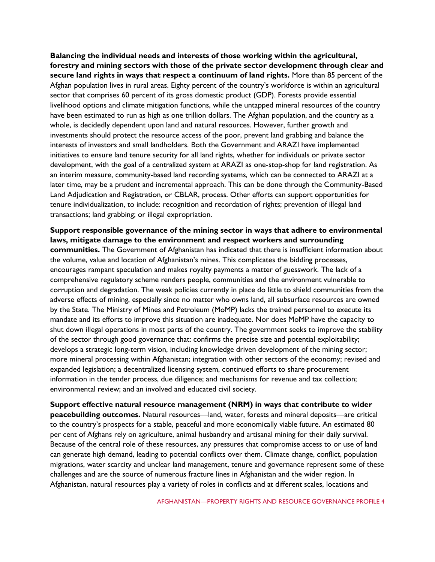**Balancing the individual needs and interests of those working within the agricultural, forestry and mining sectors with those of the private sector development through clear and secure land rights in ways that respect a continuum of land rights.** More than 85 percent of the Afghan population lives in rural areas. Eighty percent of the country's workforce is within an agricultural sector that comprises 60 percent of its gross domestic product (GDP). Forests provide essential livelihood options and climate mitigation functions, while the untapped mineral resources of the country have been estimated to run as high as one trillion dollars. The Afghan population, and the country as a whole, is decidedly dependent upon land and natural resources. However, further growth and investments should protect the resource access of the poor, prevent land grabbing and balance the interests of investors and small landholders. Both the Government and ARAZI have implemented initiatives to ensure land tenure security for all land rights, whether for individuals or private sector development, with the goal of a centralized system at ARAZI as one-stop-shop for land registration. As an interim measure, community-based land recording systems, which can be connected to ARAZI at a later time, may be a prudent and incremental approach. This can be done through the Community-Based Land Adjudication and Registration, or CBLAR, process. Other efforts can support opportunities for tenure individualization, to include: recognition and recordation of rights; prevention of illegal land transactions; land grabbing; or illegal expropriation.

**Support responsible governance of the mining sector in ways that adhere to environmental laws, mitigate damage to the environment and respect workers and surrounding communities.** The Government of Afghanistan has indicated that there is insufficient information about the volume, value and location of Afghanistan's mines. This complicates the bidding processes, encourages rampant speculation and makes royalty payments a matter of guesswork. The lack of a comprehensive regulatory scheme renders people, communities and the environment vulnerable to corruption and degradation. The weak policies currently in place do little to shield communities from the adverse effects of mining, especially since no matter who owns land, all subsurface resources are owned by the State. The Ministry of Mines and Petroleum (MoMP) lacks the trained personnel to execute its mandate and its efforts to improve this situation are inadequate. Nor does MoMP have the capacity to shut down illegal operations in most parts of the country. The government seeks to improve the stability of the sector through good governance that: confirms the precise size and potential exploitability; develops a strategic long-term vision, including knowledge driven development of the mining sector; more mineral processing within Afghanistan; integration with other sectors of the economy; revised and expanded legislation; a decentralized licensing system, continued efforts to share procurement information in the tender process, due diligence; and mechanisms for revenue and tax collection; environmental review; and an involved and educated civil society.

**Support effective natural resource management (NRM) in ways that contribute to wider peacebuilding outcomes.** Natural resources—land, water, forests and mineral deposits—are critical to the country's prospects for a stable, peaceful and more economically viable future. An estimated 80 per cent of Afghans rely on agriculture, animal husbandry and artisanal mining for their daily survival. Because of the central role of these resources, any pressures that compromise access to or use of land can generate high demand, leading to potential conflicts over them. Climate change, conflict, population migrations, water scarcity and unclear land management, tenure and governance represent some of these challenges and are the source of numerous fracture lines in Afghanistan and the wider region. In Afghanistan, natural resources play a variety of roles in conflicts and at different scales, locations and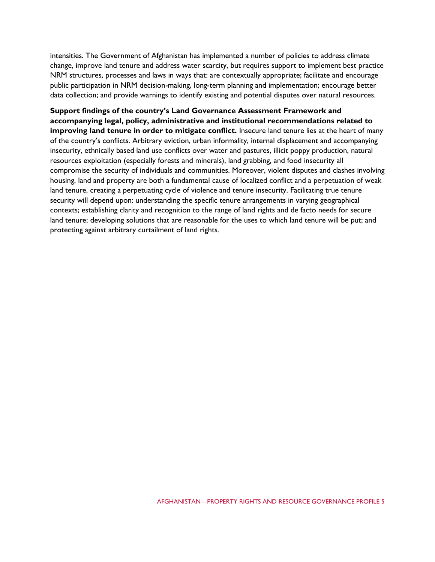intensities. The Government of Afghanistan has implemented a number of policies to address climate change, improve land tenure and address water scarcity, but requires support to implement best practice NRM structures, processes and laws in ways that: are contextually appropriate; facilitate and encourage public participation in NRM decision-making, long-term planning and implementation; encourage better data collection; and provide warnings to identify existing and potential disputes over natural resources.

**Support findings of the country's Land Governance Assessment Framework and accompanying legal, policy, administrative and institutional recommendations related to improving land tenure in order to mitigate conflict.** Insecure land tenure lies at the heart of many of the country's conflicts. Arbitrary eviction, urban informality, internal displacement and accompanying insecurity, ethnically based land use conflicts over water and pastures, illicit poppy production, natural resources exploitation (especially forests and minerals), land grabbing, and food insecurity all compromise the security of individuals and communities. Moreover, violent disputes and clashes involving housing, land and property are both a fundamental cause of localized conflict and a perpetuation of weak land tenure, creating a perpetuating cycle of violence and tenure insecurity. Facilitating true tenure security will depend upon: understanding the specific tenure arrangements in varying geographical contexts; establishing clarity and recognition to the range of land rights and de facto needs for secure land tenure; developing solutions that are reasonable for the uses to which land tenure will be put; and protecting against arbitrary curtailment of land rights.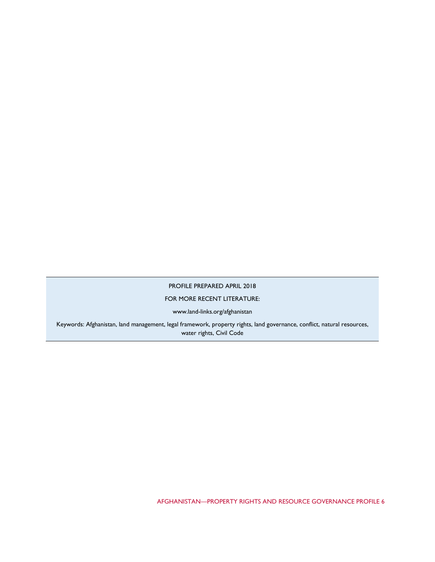#### PROFILE PREPARED APRIL 2018

## FOR MORE RECENT LITERATURE:

www.land-links.org/afghanistan

Keywords: Afghanistan, land management, legal framework, property rights, land governance, conflict, natural resources, water rights, Civil Code

AFGHANISTAN—PROPERTY RIGHTS AND RESOURCE GOVERNANCE PROFILE 6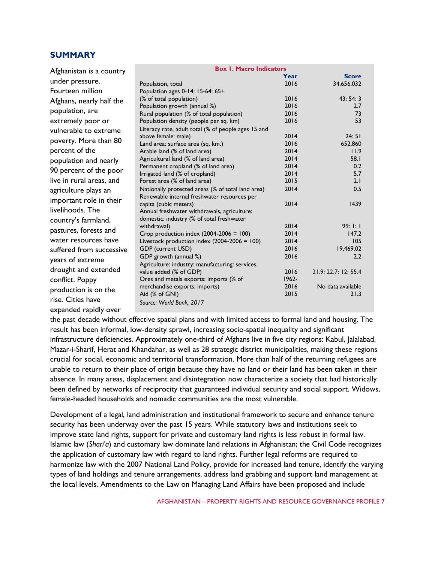# **SUMMARY**

| Afghanistan is a country | <b>Box 1. Macro Indicators</b>                                           |              |                      |
|--------------------------|--------------------------------------------------------------------------|--------------|----------------------|
|                          |                                                                          | Year         | <b>Score</b>         |
| under pressure.          | Population, total                                                        | 2016         | 34,656,032           |
| Fourteen million         | Population ages 0-14: 15-64: 65+                                         |              |                      |
| Afghans, nearly half the | (% of total population)                                                  | 2016         | 43:54:3              |
| population, are          | Population growth (annual %)                                             | 2016         | 2.7                  |
|                          | Rural population (% of total population)                                 | 2016         | 73                   |
| extremely poor or        | Population density (people per sq. km)                                   | 2016         | 53                   |
| vulnerable to extreme    | Literacy rate, adult total (% of people ages 15 and                      |              |                      |
| poverty. More than 80    | above female: male)                                                      | 2014         | 24:51                |
|                          | Land area: surface area (sq. km.)                                        | 2016         | 652,860              |
| percent of the           | Arable land (% of land area)                                             | 2014         | 11.9                 |
| population and nearly    | Agricultural land (% of land area)                                       | 2014<br>2014 | 58.1<br>0.2          |
| 90 percent of the poor   | Permanent cropland (% of land area)                                      | 2014         | 5.7                  |
| live in rural areas, and | Irrigated land (% of cropland)<br>Forest area (% of land area)           | 2015         | 2.1                  |
| agriculture plays an     | Nationally protected areas (% of total land area)                        | 2014         | 0.5                  |
| important role in their  | Renewable internal freshwater resources per                              |              |                      |
|                          | capita (cubic meters)                                                    | 2014         | 1439                 |
| livelihoods. The         | Annual freshwater withdrawals, agriculture:                              |              |                      |
| country's farmland,      | domestic: industry (% of total freshwater                                |              |                      |
| pastures, forests and    | withdrawal)                                                              | 2014         | 99:1:1               |
| water resources have     | Crop production index $(2004-2006 = 100)$                                | 2014         | 147.2                |
|                          | Livestock production index $(2004-2006 = 100)$                           | 2014         | 105                  |
| suffered from successive | GDP (current USD)                                                        | 2016         | 19,469.02            |
| years of extreme         | GDP growth (annual %)<br>Agriculture: industry: manufacturing: services, | 2016         | 2.2                  |
| drought and extended     | value added (% of GDP)                                                   | 2016         | 21.9: 22.7: 12: 55.4 |
| conflict. Poppy          | Ores and metals exports: imports (% of                                   | $1962 -$     |                      |
| production is on the     | merchandise exports: imports)                                            | 2016         | No data available    |
| rise. Cities have        | Aid (% of GNI)                                                           | 2015         | 21.3                 |
| expanded rapidly over    | Source: World Bank, 2017                                                 |              |                      |

the past decade without effective spatial plans and with limited access to formal land and housing. The result has been informal, low-density sprawl, increasing socio-spatial inequality and significant infrastructure deficiencies. Approximately one-third of Afghans live in five city regions: Kabul, Jalalabad, Mazar-i-Sharif, Herat and Khandahar, as well as 28 strategic district municipalities, making these regions crucial for social, economic and territorial transformation. More than half of the returning refugees are unable to return to their place of origin because they have no land or their land has been taken in their absence. In many areas, displacement and disintegration now characterize a society that had historically been defined by networks of reciprocity that guaranteed individual security and social support. Widows, female-headed households and nomadic communities are the most vulnerable.

Development of a legal, land administration and institutional framework to secure and enhance tenure security has been underway over the past 15 years. While statutory laws and institutions seek to improve state land rights, support for private and customary land rights is less robust in formal law. Islamic law (*Shari'a*) and customary law dominate land relations in Afghanistan; the Civil Code recognizes the application of customary law with regard to land rights. Further legal reforms are required to harmonize law with the 2007 National Land Policy, provide for increased land tenure, identify the varying types of land holdings and tenure arrangements, address land grabbing and support land management at the local levels. Amendments to the Law on Managing Land Affairs have been proposed and include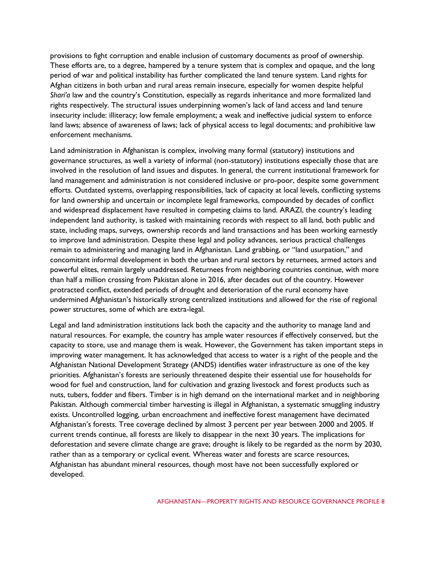provisions to fight corruption and enable inclusion of customary documents as proof of ownership. These efforts are, to a degree, hampered by a tenure system that is complex and opaque, and the long period of war and political instability has further complicated the land tenure system. Land rights for Afghan citizens in both urban and rural areas remain insecure, especially for women despite helpful *Shari'a* law and the country's Constitution, especially as regards inheritance and more formalized land rights respectively. The structural issues underpinning women's lack of land access and land tenure insecurity include: illiteracy; low female employment; a weak and ineffective judicial system to enforce land laws; absence of awareness of laws; lack of physical access to legal documents; and prohibitive law enforcement mechanisms.

Land administration in Afghanistan is complex, involving many formal (statutory) institutions and governance structures, as well a variety of informal (non-statutory) institutions especially those that are involved in the resolution of land issues and disputes. In general, the current institutional framework for land management and administration is not considered inclusive or pro-poor, despite some government efforts. Outdated systems, overlapping responsibilities, lack of capacity at local levels, conflicting systems for land ownership and uncertain or incomplete legal frameworks, compounded by decades of conflict and widespread displacement have resulted in competing claims to land. ARAZI, the country's leading independent land authority, is tasked with maintaining records with respect to all land, both public and state, including maps, surveys, ownership records and land transactions and has been working earnestly to improve land administration. Despite these legal and policy advances, serious practical challenges remain to administering and managing land in Afghanistan. Land grabbing, or "land usurpation," and concomitant informal development in both the urban and rural sectors by returnees, armed actors and powerful elites, remain largely unaddressed. Returnees from neighboring countries continue, with more than half a million crossing from Pakistan alone in 2016, after decades out of the country. However protracted conflict, extended periods of drought and deterioration of the rural economy have undermined Afghanistan's historically strong centralized institutions and allowed for the rise of regional power structures, some of which are extra-legal.

Legal and land administration institutions lack both the capacity and the authority to manage land and natural resources. For example, the country has ample water resources if effectively conserved, but the capacity to store, use and manage them is weak. However, the Government has taken important steps in improving water management. It has acknowledged that access to water is a right of the people and the Afghanistan National Development Strategy (ANDS) identifies water infrastructure as one of the key priorities. Afghanistan's forests are seriously threatened despite their essential use for households for wood for fuel and construction, land for cultivation and grazing livestock and forest products such as nuts, tubers, fodder and fibers. Timber is in high demand on the international market and in neighboring Pakistan. Although commercial timber harvesting is illegal in Afghanistan, a systematic smuggling industry exists. Uncontrolled logging, urban encroachment and ineffective forest management have decimated Afghanistan's forests. Tree coverage declined by almost 3 percent per year between 2000 and 2005. If current trends continue, all forests are likely to disappear in the next 30 years. The implications for deforestation and severe climate change are grave; drought is likely to be regarded as the norm by 2030, rather than as a temporary or cyclical event. Whereas water and forests are scarce resources, Afghanistan has abundant mineral resources, though most have not been successfully explored or developed.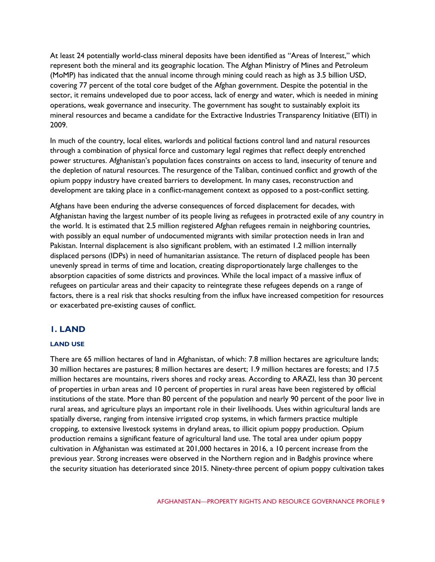At least 24 potentially world-class mineral deposits have been identified as "Areas of Interest," which represent both the mineral and its geographic location. The Afghan Ministry of Mines and Petroleum (MoMP) has indicated that the annual income through mining could reach as high as 3.5 billion USD, covering 77 percent of the total core budget of the Afghan government. Despite the potential in the sector, it remains undeveloped due to poor access, lack of energy and water, which is needed in mining operations, weak governance and insecurity. The government has sought to sustainably exploit its mineral resources and became a candidate for the Extractive Industries Transparency Initiative (EITI) in 2009.

In much of the country, local elites, warlords and political factions control land and natural resources through a combination of physical force and customary legal regimes that reflect deeply entrenched power structures. Afghanistan's population faces constraints on access to land, insecurity of tenure and the depletion of natural resources. The resurgence of the Taliban, continued conflict and growth of the opium poppy industry have created barriers to development. In many cases, reconstruction and development are taking place in a conflict-management context as opposed to a post-conflict setting.

Afghans have been enduring the adverse consequences of forced displacement for decades, with Afghanistan having the largest number of its people living as refugees in protracted exile of any country in the world. It is estimated that 2.5 million registered Afghan refugees remain in neighboring countries, with possibly an equal number of undocumented migrants with similar protection needs in Iran and Pakistan. Internal displacement is also significant problem, with an estimated 1.2 million internally displaced persons (IDPs) in need of humanitarian assistance. The return of displaced people has been unevenly spread in terms of time and location, creating disproportionately large challenges to the absorption capacities of some districts and provinces. While the local impact of a massive influx of refugees on particular areas and their capacity to reintegrate these refugees depends on a range of factors, there is a real risk that shocks resulting from the influx have increased competition for resources or exacerbated pre-existing causes of conflict.

# **1. LAND**

# **LAND USE**

There are 65 million hectares of land in Afghanistan, of which: 7.8 million hectares are agriculture lands; 30 million hectares are pastures; 8 million hectares are desert; 1.9 million hectares are forests; and 17.5 million hectares are mountains, rivers shores and rocky areas. According to ARAZI, less than 30 percent of properties in urban areas and 10 percent of properties in rural areas have been registered by official institutions of the state. More than 80 percent of the population and nearly 90 percent of the poor live in rural areas, and agriculture plays an important role in their livelihoods. Uses within agricultural lands are spatially diverse, ranging from intensive irrigated crop systems, in which farmers practice multiple cropping, to extensive livestock systems in dryland areas, to illicit opium poppy production. Opium production remains a significant feature of agricultural land use. The total area under opium poppy cultivation in Afghanistan was estimated at 201,000 hectares in 2016, a 10 percent increase from the previous year. Strong increases were observed in the Northern region and in Badghis province where the security situation has deteriorated since 2015. Ninety-three percent of opium poppy cultivation takes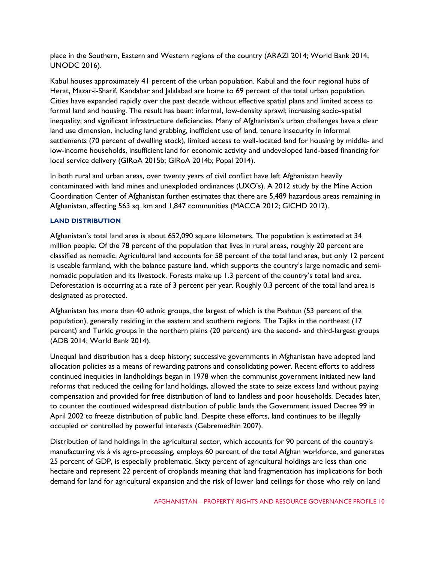place in the Southern, Eastern and Western regions of the country (ARAZI 2014; World Bank 2014; UNODC 2016).

Kabul houses approximately 41 percent of the urban population. Kabul and the four regional hubs of Herat, Mazar-i-Sharif, Kandahar and Jalalabad are home to 69 percent of the total urban population. Cities have expanded rapidly over the past decade without effective spatial plans and limited access to formal land and housing. The result has been: informal, low-density sprawl; increasing socio-spatial inequality; and significant infrastructure deficiencies. Many of Afghanistan's urban challenges have a clear land use dimension, including land grabbing, inefficient use of land, tenure insecurity in informal settlements (70 percent of dwelling stock), limited access to well-located land for housing by middle- and low-income households, insufficient land for economic activity and undeveloped land-based financing for local service delivery (GIRoA 2015b; GIRoA 2014b; Popal 2014).

In both rural and urban areas, over twenty years of civil conflict have left Afghanistan heavily contaminated with land mines and unexploded ordinances (UXO's). A 2012 study by the Mine Action Coordination Center of Afghanistan further estimates that there are 5,489 hazardous areas remaining in Afghanistan, affecting 563 sq. km and 1,847 communities (MACCA 2012; GICHD 2012).

# **LAND DISTRIBUTION**

Afghanistan's total land area is about 652,090 square kilometers. The population is estimated at 34 million people. Of the 78 percent of the population that lives in rural areas, roughly 20 percent are classified as nomadic. Agricultural land accounts for 58 percent of the total land area, but only 12 percent is useable farmland, with the balance pasture land, which supports the country's large nomadic and seminomadic population and its livestock. Forests make up 1.3 percent of the country's total land area. Deforestation is occurring at a rate of 3 percent per year. Roughly 0.3 percent of the total land area is designated as protected.

Afghanistan has more than 40 ethnic groups, the largest of which is the Pashtun (53 percent of the population), generally residing in the eastern and southern regions. The Tajiks in the northeast (17 percent) and Turkic groups in the northern plains (20 percent) are the second- and third-largest groups (ADB 2014; World Bank 2014).

Unequal land distribution has a deep history; successive governments in Afghanistan have adopted land allocation policies as a means of rewarding patrons and consolidating power. Recent efforts to address continued inequities in landholdings began in 1978 when the communist government initiated new land reforms that reduced the ceiling for land holdings, allowed the state to seize excess land without paying compensation and provided for free distribution of land to landless and poor households. Decades later, to counter the continued widespread distribution of public lands the Government issued Decree 99 in April 2002 to freeze distribution of public land. Despite these efforts, land continues to be illegally occupied or controlled by powerful interests (Gebremedhin 2007).

Distribution of land holdings in the agricultural sector, which accounts for 90 percent of the country's manufacturing vis à vis agro-processing, employs 60 percent of the total Afghan workforce, and generates 25 percent of GDP, is especially problematic. Sixty percent of agricultural holdings are less than one hectare and represent 22 percent of croplands meaning that land fragmentation has implications for both demand for land for agricultural expansion and the risk of lower land ceilings for those who rely on land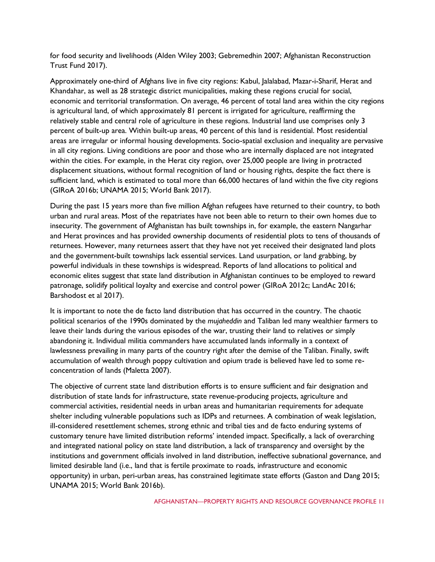for food security and livelihoods (Alden Wiley 2003; Gebremedhin 2007; Afghanistan Reconstruction Trust Fund 2017).

Approximately one-third of Afghans live in five city regions: Kabul, Jalalabad, Mazar-i-Sharif, Herat and Khandahar, as well as 28 strategic district municipalities, making these regions crucial for social, economic and territorial transformation. On average, 46 percent of total land area within the city regions is agricultural land, of which approximately 81 percent is irrigated for agriculture, reaffirming the relatively stable and central role of agriculture in these regions. Industrial land use comprises only 3 percent of built-up area. Within built-up areas, 40 percent of this land is residential. Most residential areas are irregular or informal housing developments. Socio-spatial exclusion and inequality are pervasive in all city regions. Living conditions are poor and those who are internally displaced are not integrated within the cities. For example, in the Herat city region, over 25,000 people are living in protracted displacement situations, without formal recognition of land or housing rights, despite the fact there is sufficient land, which is estimated to total more than 66,000 hectares of land within the five city regions (GIRoA 2016b; UNAMA 2015; World Bank 2017).

During the past 15 years more than five million Afghan refugees have returned to their country, to both urban and rural areas. Most of the repatriates have not been able to return to their own homes due to insecurity. The government of Afghanistan has built townships in, for example, the eastern Nangarhar and Herat provinces and has provided ownership documents of residential plots to tens of thousands of returnees. However, many returnees assert that they have not yet received their designated land plots and the government-built townships lack essential services. Land usurpation, or land grabbing, by powerful individuals in these townships is widespread. Reports of land allocations to political and economic elites suggest that state land distribution in Afghanistan continues to be employed to reward patronage, solidify political loyalty and exercise and control power (GIRoA 2012c; LandAc 2016; Barshodost et al 2017).

It is important to note the de facto land distribution that has occurred in the country. The chaotic political scenarios of the 1990s dominated by the *mujaheddin* and Taliban led many wealthier farmers to leave their lands during the various episodes of the war, trusting their land to relatives or simply abandoning it. Individual militia commanders have accumulated lands informally in a context of lawlessness prevailing in many parts of the country right after the demise of the Taliban. Finally, swift accumulation of wealth through poppy cultivation and opium trade is believed have led to some reconcentration of lands (Maletta 2007).

The objective of current state land distribution efforts is to ensure sufficient and fair designation and distribution of state lands for infrastructure, state revenue-producing projects, agriculture and commercial activities, residential needs in urban areas and humanitarian requirements for adequate shelter including vulnerable populations such as IDPs and returnees. A combination of weak legislation, ill-considered resettlement schemes, strong ethnic and tribal ties and de facto enduring systems of customary tenure have limited distribution reforms' intended impact. Specifically, a lack of overarching and integrated national policy on state land distribution, a lack of transparency and oversight by the institutions and government officials involved in land distribution, ineffective subnational governance, and limited desirable land (i.e., land that is fertile proximate to roads, infrastructure and economic opportunity) in urban, peri-urban areas, has constrained legitimate state efforts (Gaston and Dang 2015; UNAMA 2015; World Bank 2016b).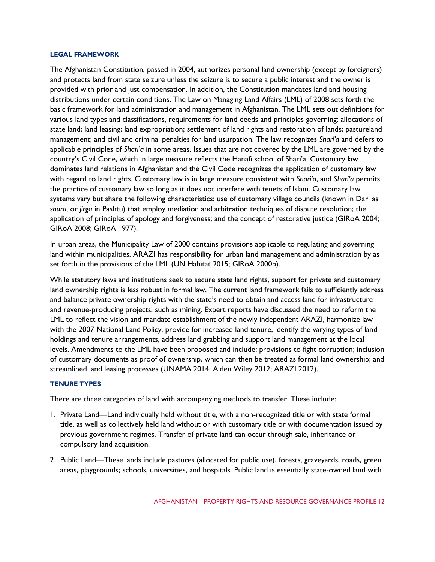#### **LEGAL FRAMEWORK**

The Afghanistan Constitution, passed in 2004, authorizes personal land ownership (except by foreigners) and protects land from state seizure unless the seizure is to secure a public interest and the owner is provided with prior and just compensation. In addition, the Constitution mandates land and housing distributions under certain conditions. The Law on Managing Land Affairs (LML) of 2008 sets forth the basic framework for land administration and management in Afghanistan. The LML sets out definitions for various land types and classifications, requirements for land deeds and principles governing: allocations of state land; land leasing; land expropriation; settlement of land rights and restoration of lands; pastureland management; and civil and criminal penalties for land usurpation. The law recognizes *Shari'a* and defers to applicable principles of *Shari'a* in some areas. Issues that are not covered by the LML are governed by the country's Civil Code, which in large measure reflects the Hanafi school of Shari'a. Customary law dominates land relations in Afghanistan and the Civil Code recognizes the application of customary law with regard to land rights. Customary law is in large measure consistent with *Shari'a*, and *Shari'a* permits the practice of customary law so long as it does not interfere with tenets of Islam. Customary law systems vary but share the following characteristics: use of customary village councils (known in Dari as *shura*, or *jirga* in Pashtu) that employ mediation and arbitration techniques of dispute resolution; the application of principles of apology and forgiveness; and the concept of restorative justice (GIRoA 2004; GIRoA 2008; GIRoA 1977).

In urban areas, the Municipality Law of 2000 contains provisions applicable to regulating and governing land within municipalities. ARAZI has responsibility for urban land management and administration by as set forth in the provisions of the LML (UN Habitat 2015; GIRoA 2000b).

While statutory laws and institutions seek to secure state land rights, support for private and customary land ownership rights is less robust in formal law. The current land framework fails to sufficiently address and balance private ownership rights with the state's need to obtain and access land for infrastructure and revenue-producing projects, such as mining. Expert reports have discussed the need to reform the LML to reflect the vision and mandate establishment of the newly independent ARAZI, harmonize law with the 2007 National Land Policy, provide for increased land tenure, identify the varying types of land holdings and tenure arrangements, address land grabbing and support land management at the local levels. Amendments to the LML have been proposed and include: provisions to fight corruption; inclusion of customary documents as proof of ownership, which can then be treated as formal land ownership; and streamlined land leasing processes (UNAMA 2014; Alden Wiley 2012; ARAZI 2012).

#### **TENURE TYPES**

There are three categories of land with accompanying methods to transfer. These include:

- 1. Private Land—Land individually held without title, with a non-recognized title or with state formal title, as well as collectively held land without or with customary title or with documentation issued by previous government regimes. Transfer of private land can occur through sale, inheritance or compulsory land acquisition.
- 2. Public Land—These lands include pastures (allocated for public use), forests, graveyards, roads, green areas, playgrounds; schools, universities, and hospitals. Public land is essentially state-owned land with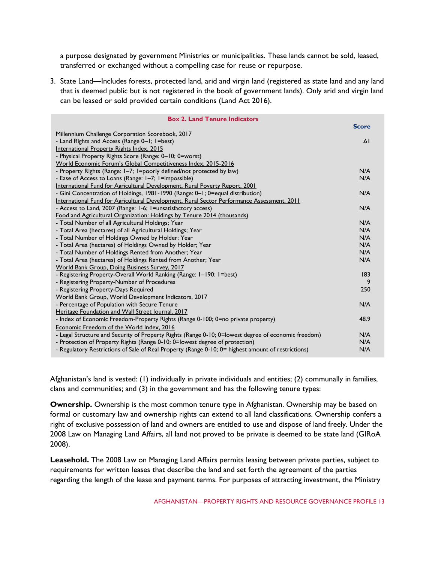a purpose designated by government Ministries or municipalities. These lands cannot be sold, leased, transferred or exchanged without a compelling case for reuse or repurpose.

3. State Land—Includes forests, protected land, arid and virgin land (registered as state land and any land that is deemed public but is not registered in the book of government lands). Only arid and virgin land can be leased or sold provided certain conditions (Land Act 2016).

| <b>Box 2. Land Tenure Indicators</b>                                                                |              |  |
|-----------------------------------------------------------------------------------------------------|--------------|--|
|                                                                                                     | <b>Score</b> |  |
| Millennium Challenge Corporation Scorebook, 2017                                                    |              |  |
| - Land Rights and Access (Range 0-1; 1=best)                                                        |              |  |
| International Property Rights Index, 2015                                                           |              |  |
| - Physical Property Rights Score (Range: 0-10; 0=worst)                                             |              |  |
| World Economic Forum's Global Competitiveness Index, 2015-2016                                      |              |  |
| - Property Rights (Range: I-7; I=poorly defined/not protected by law)                               |              |  |
| - Ease of Access to Loans (Range: 1–7; 1=impossible)                                                |              |  |
| International Fund for Agricultural Development, Rural Poverty Report, 2001                         |              |  |
| - Gini Concentration of Holdings, 1981-1990 (Range: 0-1; 0=equal distribution)                      | N/A          |  |
| International Fund for Agricultural Development, Rural Sector Performance Assessment, 2011          |              |  |
| - Access to Land, 2007 (Range: 1-6; 1=unsatisfactory access)                                        | N/A          |  |
| Food and Agricultural Organization: Holdings by Tenure 2014 (thousands)                             |              |  |
| - Total Number of all Agricultural Holdings; Year                                                   | N/A          |  |
| - Total Area (hectares) of all Agricultural Holdings; Year                                          |              |  |
| - Total Number of Holdings Owned by Holder; Year                                                    |              |  |
| - Total Area (hectares) of Holdings Owned by Holder; Year                                           |              |  |
| - Total Number of Holdings Rented from Another; Year                                                |              |  |
| - Total Area (hectares) of Holdings Rented from Another; Year                                       |              |  |
| World Bank Group, Doing Business Survey, 2017                                                       |              |  |
| - Registering Property-Overall World Ranking (Range: 1-190; 1=best)                                 | 183          |  |
| - Registering Property-Number of Procedures                                                         |              |  |
| - Registering Property-Days Required                                                                |              |  |
| World Bank Group, World Development Indicators, 2017                                                |              |  |
| - Percentage of Population with Secure Tenure                                                       | N/A          |  |
| Heritage Foundation and Wall Street Journal, 2017                                                   |              |  |
| - Index of Economic Freedom-Property Rights (Range 0-100; 0=no private property)                    | 48.9         |  |
| Economic Freedom of the World Index, 2016                                                           |              |  |
| - Legal Structure and Security of Property Rights (Range 0-10; 0=lowest degree of economic freedom) |              |  |
| - Protection of Property Rights (Range 0-10; 0=lowest degree of protection)                         |              |  |
| - Regulatory Restrictions of Sale of Real Property (Range 0-10; 0= highest amount of restrictions)  |              |  |

Afghanistan's land is vested: (1) individually in private individuals and entities; (2) communally in families, clans and communities; and (3) in the government and has the following tenure types:

**Ownership.** Ownership is the most common tenure type in Afghanistan. Ownership may be based on formal or customary law and ownership rights can extend to all land classifications. Ownership confers a right of exclusive possession of land and owners are entitled to use and dispose of land freely. Under the 2008 Law on Managing Land Affairs, all land not proved to be private is deemed to be state land (GIRoA 2008).

**Leasehold.** The 2008 Law on Managing Land Affairs permits leasing between private parties, subject to requirements for written leases that describe the land and set forth the agreement of the parties regarding the length of the lease and payment terms. For purposes of attracting investment, the Ministry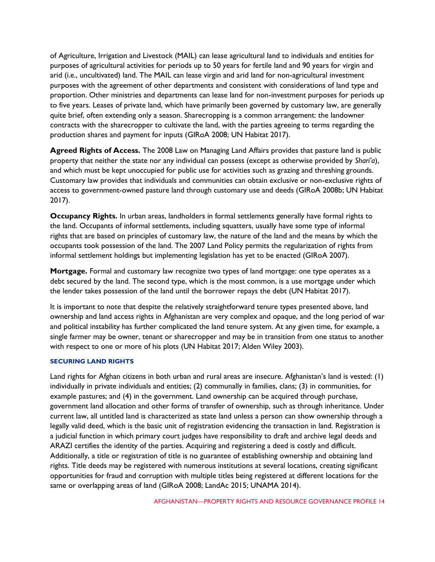of Agriculture, Irrigation and Livestock (MAIL) can lease agricultural land to individuals and entities for purposes of agricultural activities for periods up to 50 years for fertile land and 90 years for virgin and arid (i.e., uncultivated) land. The MAIL can lease virgin and arid land for non-agricultural investment purposes with the agreement of other departments and consistent with considerations of land type and proportion. Other ministries and departments can lease land for non-investment purposes for periods up to five years. Leases of private land, which have primarily been governed by customary law, are generally quite brief, often extending only a season. Sharecropping is a common arrangement: the landowner contracts with the sharecropper to cultivate the land, with the parties agreeing to terms regarding the production shares and payment for inputs (GIRoA 2008; UN Habitat 2017).

**Agreed Rights of Access.** The 2008 Law on Managing Land Affairs provides that pasture land is public property that neither the state nor any individual can possess (except as otherwise provided by *Shari'a*), and which must be kept unoccupied for public use for activities such as grazing and threshing grounds. Customary law provides that individuals and communities can obtain exclusive or non-exclusive rights of access to government-owned pasture land through customary use and deeds (GIRoA 2008b; UN Habitat 2017).

**Occupancy Rights.** In urban areas, landholders in formal settlements generally have formal rights to the land. Occupants of informal settlements, including squatters, usually have some type of informal rights that are based on principles of customary law, the nature of the land and the means by which the occupants took possession of the land. The 2007 Land Policy permits the regularization of rights from informal settlement holdings but implementing legislation has yet to be enacted (GIRoA 2007).

**Mortgage.** Formal and customary law recognize two types of land mortgage: one type operates as a debt secured by the land. The second type, which is the most common, is a use mortgage under which the lender takes possession of the land until the borrower repays the debt (UN Habitat 2017).

It is important to note that despite the relatively straightforward tenure types presented above, land ownership and land access rights in Afghanistan are very complex and opaque, and the long period of war and political instability has further complicated the land tenure system. At any given time, for example, a single farmer may be owner, tenant or sharecropper and may be in transition from one status to another with respect to one or more of his plots (UN Habitat 2017; Alden Wiley 2003).

# **SECURING LAND RIGHTS**

Land rights for Afghan citizens in both urban and rural areas are insecure. Afghanistan's land is vested: (1) individually in private individuals and entities; (2) communally in families, clans; (3) in communities, for example pastures; and (4) in the government. Land ownership can be acquired through purchase, government land allocation and other forms of transfer of ownership, such as through inheritance. Under current law, all untitled land is characterized as state land unless a person can show ownership through a legally valid deed, which is the basic unit of registration evidencing the transaction in land. Registration is a judicial function in which primary court judges have responsibility to draft and archive legal deeds and ARAZI certifies the identity of the parties. Acquiring and registering a deed is costly and difficult. Additionally, a title or registration of title is no guarantee of establishing ownership and obtaining land rights. Title deeds may be registered with numerous institutions at several locations, creating significant opportunities for fraud and corruption with multiple titles being registered at different locations for the same or overlapping areas of land (GIRoA 2008; LandAc 2015; UNAMA 2014).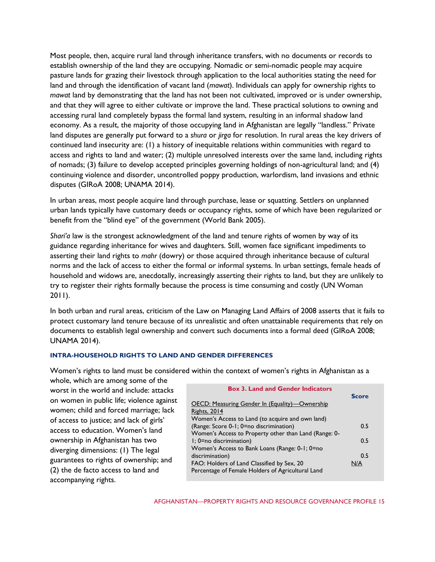Most people, then, acquire rural land through inheritance transfers, with no documents or records to establish ownership of the land they are occupying. Nomadic or semi-nomadic people may acquire pasture lands for grazing their livestock through application to the local authorities stating the need for land and through the identification of vacant land (*mawat*). Individuals can apply for ownership rights to *mawat* land by demonstrating that the land has not been not cultivated, improved or is under ownership, and that they will agree to either cultivate or improve the land. These practical solutions to owning and accessing rural land completely bypass the formal land system, resulting in an informal shadow land economy. As a result, the majority of those occupying land in Afghanistan are legally "landless." Private land disputes are generally put forward to a *shura* or *jirga* for resolution. In rural areas the key drivers of continued land insecurity are: (1) a history of inequitable relations within communities with regard to access and rights to land and water; (2) multiple unresolved interests over the same land, including rights of nomads; (3) failure to develop accepted principles governing holdings of non-agricultural land; and (4) continuing violence and disorder, uncontrolled poppy production, warlordism, land invasions and ethnic disputes (GIRoA 2008; UNAMA 2014).

In urban areas, most people acquire land through purchase, lease or squatting. Settlers on unplanned urban lands typically have customary deeds or occupancy rights, some of which have been regularized or benefit from the "blind eye" of the government (World Bank 2005).

*Shari'a* law is the strongest acknowledgment of the land and tenure rights of women by way of its guidance regarding inheritance for wives and daughters. Still, women face significant impediments to asserting their land rights to *mahr* (dowry) or those acquired through inheritance because of cultural norms and the lack of access to either the formal or informal systems. In urban settings, female heads of household and widows are, anecdotally, increasingly asserting their rights to land, but they are unlikely to try to register their rights formally because the process is time consuming and costly (UN Woman 2011).

In both urban and rural areas, criticism of the Law on Managing Land Affairs of 2008 asserts that it fails to protect customary land tenure because of its unrealistic and often unattainable requirements that rely on documents to establish legal ownership and convert such documents into a formal deed (GIRoA 2008; UNAMA 2014).

# **INTRA-HOUSEHOLD RIGHTS TO LAND AND GENDER DIFFERENCES**

Women's rights to land must be considered within the context of women's rights in Afghanistan as a

whole, which are among some of the worst in the world and include: attacks on women in public life; violence against women; child and forced marriage; lack of access to justice; and lack of girls' access to education. Women's land ownership in Afghanistan has two diverging dimensions: (1) The legal guarantees to rights of ownership; and (2) the de facto access to land and accompanying rights.

| <b>Box 3. Land and Gender Indicators</b>                                                        |              |
|-------------------------------------------------------------------------------------------------|--------------|
| OECD: Measuring Gender In (Equality)—Ownership                                                  | <b>Score</b> |
| <b>Rights, 2014</b><br>Women's Access to Land (to acquire and own land)                         |              |
| (Range: Score 0-1; 0=no discrimination)                                                         | 0.5          |
| Women's Access to Property other than Land (Range: 0-<br>I; 0=no discrimination)                | 0.5          |
| Women's Access to Bank Loans (Range: 0-1; 0=no                                                  |              |
| discrimination)                                                                                 | 0.5          |
| FAO: Holders of Land Classified by Sex, 20<br>Percentage of Female Holders of Agricultural Land | N/A          |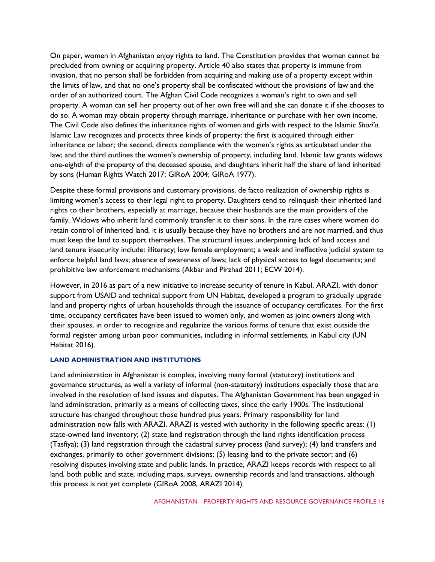On paper, women in Afghanistan enjoy rights to land. The Constitution provides that women cannot be precluded from owning or acquiring property. Article 40 also states that property is immune from invasion, that no person shall be forbidden from acquiring and making use of a property except within the limits of law, and that no one's property shall be confiscated without the provisions of law and the order of an authorized court. The Afghan Civil Code recognizes a woman's right to own and sell property. A woman can sell her property out of her own free will and she can donate it if she chooses to do so. A woman may obtain property through marriage, inheritance or purchase with her own income. The Civil Code also defines the inheritance rights of women and girls with respect to the Islamic *Shari'a*. Islamic Law recognizes and protects three kinds of property: the first is acquired through either inheritance or labor; the second, directs compliance with the women's rights as articulated under the law; and the third outlines the women's ownership of property, including land. Islamic law grants widows one-eighth of the property of the deceased spouse, and daughters inherit half the share of land inherited by sons (Human Rights Watch 2017; GIRoA 2004; GIRoA 1977).

Despite these formal provisions and customary provisions, de facto realization of ownership rights is limiting women's access to their legal right to property. Daughters tend to relinquish their inherited land rights to their brothers, especially at marriage, because their husbands are the main providers of the family. Widows who inherit land commonly transfer it to their sons. In the rare cases where women do retain control of inherited land, it is usually because they have no brothers and are not married, and thus must keep the land to support themselves. The structural issues underpinning lack of land access and land tenure insecurity include: illiteracy; low female employment; a weak and ineffective judicial system to enforce helpful land laws; absence of awareness of laws; lack of physical access to legal documents; and prohibitive law enforcement mechanisms (Akbar and Pirzhad 2011; ECW 2014).

However, in 2016 as part of a new initiative to increase security of tenure in Kabul, ARAZI, with donor support from USAID and technical support from UN Habitat, developed a program to gradually upgrade land and property rights of urban households through the issuance of occupancy certificates. For the first time, occupancy certificates have been issued to women only, and women as joint owners along with their spouses, in order to recognize and regularize the various forms of tenure that exist outside the formal register among urban poor communities, including in informal settlements, in Kabul city (UN Habitat 2016).

# **LAND ADMINISTRATION AND INSTITUTIONS**

Land administration in Afghanistan is complex, involving many formal (statutory) institutions and governance structures, as well a variety of informal (non-statutory) institutions especially those that are involved in the resolution of land issues and disputes. The Afghanistan Government has been engaged in land administration, primarily as a means of collecting taxes, since the early 1900s. The institutional structure has changed throughout those hundred plus years. Primary responsibility for land administration now falls with ARAZI. ARAZI is vested with authority in the following specific areas: (1) state-owned land inventory; (2) state land registration through the land rights identification process (Tasfiya); (3) land registration through the cadastral survey process (land survey); (4) land transfers and exchanges, primarily to other government divisions; (5) leasing land to the private sector; and (6) resolving disputes involving state and public lands. In practice, ARAZI keeps records with respect to all land, both public and state, including maps, surveys, ownership records and land transactions, although this process is not yet complete (GIRoA 2008, ARAZI 2014).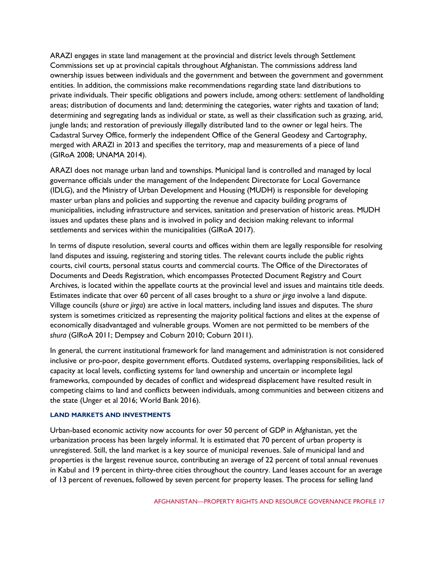ARAZI engages in state land management at the provincial and district levels through Settlement Commissions set up at provincial capitals throughout Afghanistan. The commissions address land ownership issues between individuals and the government and between the government and government entities. In addition, the commissions make recommendations regarding state land distributions to private individuals. Their specific obligations and powers include, among others: settlement of landholding areas; distribution of documents and land; determining the categories, water rights and taxation of land; determining and segregating lands as individual or state, as well as their classification such as grazing, arid, jungle lands; and restoration of previously illegally distributed land to the owner or legal heirs. The Cadastral Survey Office, formerly the independent Office of the General Geodesy and Cartography, merged with ARAZI in 2013 and specifies the territory, map and measurements of a piece of land (GIRoA 2008; UNAMA 2014).

ARAZI does not manage urban land and townships. Municipal land is controlled and managed by local governance officials under the management of the Independent Directorate for Local Governance (IDLG), and the Ministry of Urban Development and Housing (MUDH) is responsible for developing master urban plans and policies and supporting the revenue and capacity building programs of municipalities, including infrastructure and services, sanitation and preservation of historic areas. MUDH issues and updates these plans and is involved in policy and decision making relevant to informal settlements and services within the municipalities (GIRoA 2017).

In terms of dispute resolution, several courts and offices within them are legally responsible for resolving land disputes and issuing, registering and storing titles. The relevant courts include the public rights courts, civil courts, personal status courts and commercial courts. The Office of the Directorates of Documents and Deeds Registration, which encompasses Protected Document Registry and Court Archives, is located within the appellate courts at the provincial level and issues and maintains title deeds. Estimates indicate that over 60 percent of all cases brought to a *shura* or *jirga* involve a land dispute. Village councils (*shura* or *jirga*) are active in local matters, including land issues and disputes. The *shura* system is sometimes criticized as representing the majority political factions and elites at the expense of economically disadvantaged and vulnerable groups. Women are not permitted to be members of the *shura* (GIRoA 2011; Dempsey and Coburn 2010; Coburn 2011).

In general, the current institutional framework for land management and administration is not considered inclusive or pro-poor, despite government efforts. Outdated systems, overlapping responsibilities, lack of capacity at local levels, conflicting systems for land ownership and uncertain or incomplete legal frameworks, compounded by decades of conflict and widespread displacement have resulted result in competing claims to land and conflicts between individuals, among communities and between citizens and the state (Unger et al 2016; World Bank 2016).

#### **LAND MARKETS AND INVESTMENTS**

Urban-based economic activity now accounts for over 50 percent of GDP in Afghanistan, yet the urbanization process has been largely informal. It is estimated that 70 percent of urban property is unregistered. Still, the land market is a key source of municipal revenues. Sale of municipal land and properties is the largest revenue source, contributing an average of 22 percent of total annual revenues in Kabul and 19 percent in thirty-three cities throughout the country. Land leases account for an average of 13 percent of revenues, followed by seven percent for property leases. The process for selling land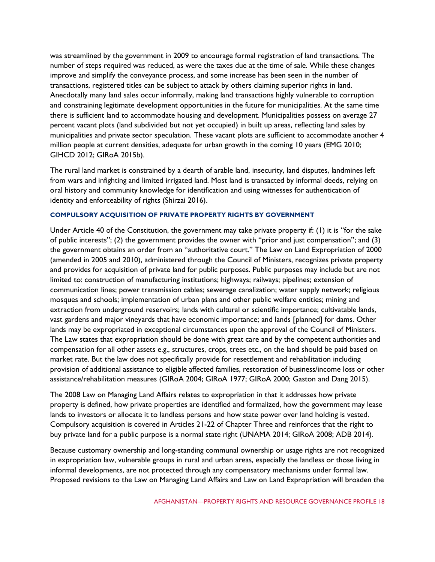was streamlined by the government in 2009 to encourage formal registration of land transactions. The number of steps required was reduced, as were the taxes due at the time of sale. While these changes improve and simplify the conveyance process, and some increase has been seen in the number of transactions, registered titles can be subject to attack by others claiming superior rights in land. Anecdotally many land sales occur informally, making land transactions highly vulnerable to corruption and constraining legitimate development opportunities in the future for municipalities. At the same time there is sufficient land to accommodate housing and development. Municipalities possess on average 27 percent vacant plots (land subdivided but not yet occupied) in built up areas, reflecting land sales by municipalities and private sector speculation. These vacant plots are sufficient to accommodate another 4 million people at current densities, adequate for urban growth in the coming 10 years (EMG 2010; GIHCD 2012; GIRoA 2015b).

The rural land market is constrained by a dearth of arable land, insecurity, land disputes, landmines left from wars and infighting and limited irrigated land. Most land is transacted by informal deeds, relying on oral history and community knowledge for identification and using witnesses for authentication of identity and enforceability of rights (Shirzai 2016).

## **COMPULSORY ACQUISITION OF PRIVATE PROPERTY RIGHTS BY GOVERNMENT**

Under Article 40 of the Constitution, the government may take private property if: (1) it is "for the sake of public interests"; (2) the government provides the owner with "prior and just compensation"; and (3) the government obtains an order from an "authoritative court." The Law on Land Expropriation of 2000 (amended in 2005 and 2010), administered through the Council of Ministers, recognizes private property and provides for acquisition of private land for public purposes. Public purposes may include but are not limited to: construction of manufacturing institutions; highways; railways; pipelines; extension of communication lines; power transmission cables; sewerage canalization; water supply network; religious mosques and schools; implementation of urban plans and other public welfare entities; mining and extraction from underground reservoirs; lands with cultural or scientific importance; cultivatable lands, vast gardens and major vineyards that have economic importance; and lands [planned] for dams. Other lands may be expropriated in exceptional circumstances upon the approval of the Council of Ministers. The Law states that expropriation should be done with great care and by the competent authorities and compensation for all other assets e.g., structures, crops, trees etc., on the land should be paid based on market rate. But the law does not specifically provide for resettlement and rehabilitation including provision of additional assistance to eligible affected families, restoration of business/income loss or other assistance/rehabilitation measures (GIRoA 2004; GIRoA 1977; GIRoA 2000; Gaston and Dang 2015).

The 2008 Law on Managing Land Affairs relates to expropriation in that it addresses how private property is defined, how private properties are identified and formalized, how the government may lease lands to investors or allocate it to landless persons and how state power over land holding is vested. Compulsory acquisition is covered in Articles 21-22 of Chapter Three and reinforces that the right to buy private land for a public purpose is a normal state right (UNAMA 2014; GIRoA 2008; ADB 2014).

Because customary ownership and long-standing communal ownership or usage rights are not recognized in expropriation law, vulnerable groups in rural and urban areas, especially the landless or those living in informal developments, are not protected through any compensatory mechanisms under formal law. Proposed revisions to the Law on Managing Land Affairs and Law on Land Expropriation will broaden the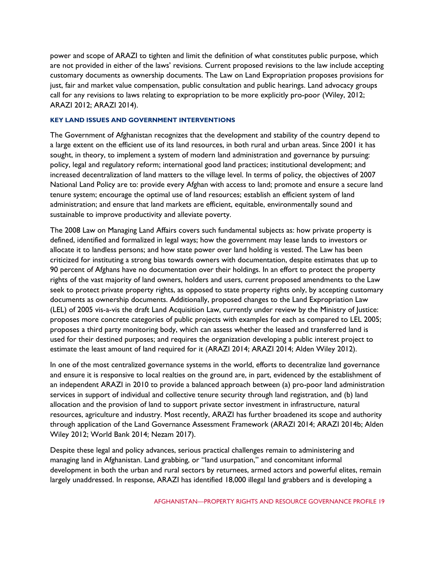power and scope of ARAZI to tighten and limit the definition of what constitutes public purpose, which are not provided in either of the laws' revisions. Current proposed revisions to the law include accepting customary documents as ownership documents. The Law on Land Expropriation proposes provisions for just, fair and market value compensation, public consultation and public hearings. Land advocacy groups call for any revisions to laws relating to expropriation to be more explicitly pro-poor (Wiley, 2012; ARAZI 2012; ARAZI 2014).

#### **KEY LAND ISSUES AND GOVERNMENT INTERVENTIONS**

The Government of Afghanistan recognizes that the development and stability of the country depend to a large extent on the efficient use of its land resources, in both rural and urban areas. Since 2001 it has sought, in theory, to implement a system of modern land administration and governance by pursuing: policy, legal and regulatory reform; international good land practices; institutional development; and increased decentralization of land matters to the village level. In terms of policy, the objectives of 2007 National Land Policy are to: provide every Afghan with access to land; promote and ensure a secure land tenure system; encourage the optimal use of land resources; establish an efficient system of land administration; and ensure that land markets are efficient, equitable, environmentally sound and sustainable to improve productivity and alleviate poverty.

The 2008 Law on Managing Land Affairs covers such fundamental subjects as: how private property is defined, identified and formalized in legal ways; how the government may lease lands to investors or allocate it to landless persons; and how state power over land holding is vested. The Law has been criticized for instituting a strong bias towards owners with documentation, despite estimates that up to 90 percent of Afghans have no documentation over their holdings. In an effort to protect the property rights of the vast majority of land owners, holders and users, current proposed amendments to the Law seek to protect private property rights, as opposed to state property rights only, by accepting customary documents as ownership documents. Additionally, proposed changes to the Land Expropriation Law (LEL) of 2005 vis-a-vis the draft Land Acquisition Law, currently under review by the Ministry of Justice: proposes more concrete categories of public projects with examples for each as compared to LEL 2005; proposes a third party monitoring body, which can assess whether the leased and transferred land is used for their destined purposes; and requires the organization developing a public interest project to estimate the least amount of land required for it (ARAZI 2014; ARAZI 2014; Alden Wiley 2012).

In one of the most centralized governance systems in the world, efforts to decentralize land governance and ensure it is responsive to local realties on the ground are, in part, evidenced by the establishment of an independent ARAZI in 2010 to provide a balanced approach between (a) pro-poor land administration services in support of individual and collective tenure security through land registration, and (b) land allocation and the provision of land to support private sector investment in infrastructure, natural resources, agriculture and industry. Most recently, ARAZI has further broadened its scope and authority through application of the Land Governance Assessment Framework (ARAZI 2014; ARAZI 2014b; Alden Wiley 2012; World Bank 2014; Nezam 2017).

Despite these legal and policy advances, serious practical challenges remain to administering and managing land in Afghanistan. Land grabbing, or "land usurpation," and concomitant informal development in both the urban and rural sectors by returnees, armed actors and powerful elites, remain largely unaddressed. In response, ARAZI has identified 18,000 illegal land grabbers and is developing a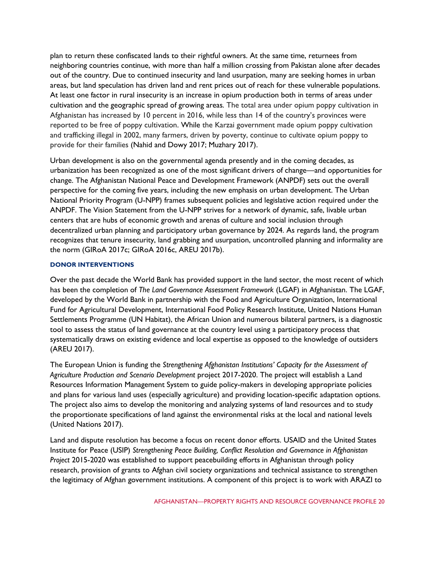plan to return these confiscated lands to their rightful owners. At the same time, returnees from neighboring countries continue, with more than half a million crossing from Pakistan alone after decades out of the country. Due to continued insecurity and land usurpation, many are seeking homes in urban areas, but land speculation has driven land and rent prices out of reach for these vulnerable populations. At least one factor in rural insecurity is an increase in opium production both in terms of areas under cultivation and the geographic spread of growing areas. The total area under opium poppy cultivation in Afghanistan has increased by 10 percent in 2016, while less than 14 of the country's provinces were reported to be free of poppy cultivation. While the Karzai government made opium poppy cultivation and trafficking illegal in 2002, many farmers, driven by poverty, continue to cultivate opium poppy to provide for their families (Nahid and Dowy 2017; Muzhary 2017).

Urban development is also on the governmental agenda presently and in the coming decades, as urbanization has been recognized as one of the most significant drivers of change—and opportunities for change. The Afghanistan National Peace and Development Framework (ANPDF) sets out the overall perspective for the coming five years, including the new emphasis on urban development. The Urban National Priority Program (U-NPP) frames subsequent policies and legislative action required under the ANPDF. The Vision Statement from the U-NPP strives for a network of dynamic, safe, livable urban centers that are hubs of economic growth and arenas of culture and social inclusion through decentralized urban planning and participatory urban governance by 2024. As regards land, the program recognizes that tenure insecurity, land grabbing and usurpation, uncontrolled planning and informality are the norm (GIRoA 2017c; GIRoA 2016c, AREU 2017b).

## **DONOR INTERVENTIONS**

Over the past decade the World Bank has provided support in the land sector, the most recent of which has been the completion of *The Land Governance Assessment Framework* (LGAF) in Afghanistan. The LGAF, developed by the World Bank in partnership with the Food and Agriculture Organization, International Fund for Agricultural Development, International Food Policy Research Institute, United Nations Human Settlements Programme (UN Habitat), the African Union and numerous bilateral partners, is a diagnostic tool to assess the status of land governance at the country level using a participatory process that systematically draws on existing evidence and local expertise as opposed to the knowledge of outsiders (AREU 2017).

The European Union is funding the *Strengthening Afghanistan Institutions' Capacity for the Assessment of Agriculture Production and Scenario Development* project 2017-2020. The project will establish a Land Resources Information Management System to guide policy-makers in developing appropriate policies and plans for various land uses (especially agriculture) and providing location-specific adaptation options. The project also aims to develop the monitoring and analyzing systems of land resources and to study the proportionate specifications of land against the environmental risks at the local and national levels (United Nations 2017).

Land and dispute resolution has become a focus on recent donor efforts. USAID and the United States Institute for Peace (USIP) *Strengthening Peace Building, Conflict Resolution and Governance in Afghanistan Project* 2015-2020 was established to support peacebuilding efforts in Afghanistan through policy research, provision of grants to Afghan civil society organizations and technical assistance to strengthen the legitimacy of Afghan government institutions. A component of this project is to work with ARAZI to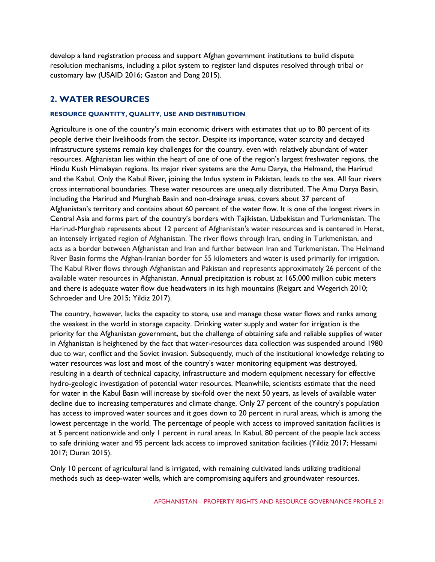develop a land registration process and support Afghan government institutions to build dispute resolution mechanisms, including a pilot system to register land disputes resolved through tribal or customary law (USAID 2016; Gaston and Dang 2015).

# **2. WATER RESOURCES**

# **RESOURCE QUANTITY, QUALITY, USE AND DISTRIBUTION**

Agriculture is one of the country's main economic drivers with estimates that up to 80 percent of its people derive their livelihoods from the sector. Despite its importance, water scarcity and decayed infrastructure systems remain key challenges for the country, even with relatively abundant of water resources. Afghanistan lies within the heart of one of one of the region's largest freshwater regions, the Hindu Kush Himalayan regions. Its major river systems are the Amu Darya, the Helmand, the Harirud and the Kabul. Only the Kabul River, joining the Indus system in Pakistan, leads to the sea. All four rivers cross international boundaries. These water resources are unequally distributed. The Amu Darya Basin, including the Harirud and Murghab Basin and non-drainage areas, covers about 37 percent of Afghanistan's territory and contains about 60 percent of the water flow. It is one of the longest rivers in Central Asia and forms part of the country's borders with Tajikistan, Uzbekistan and Turkmenistan. The Harirud-Murghab represents about 12 percent of Afghanistan's water resources and is centered in Herat, an intensely irrigated region of Afghanistan. The river flows through Iran, ending in Turkmenistan, and acts as a border between Afghanistan and Iran and further between Iran and Turkmenistan. The Helmand River Basin forms the Afghan-Iranian border for 55 kilometers and water is used primarily for irrigation. The Kabul River flows through Afghanistan and Pakistan and represents approximately 26 percent of the available water resources in Afghanistan. Annual precipitation is robust at 165,000 million cubic meters and there is adequate water flow due headwaters in its high mountains (Reigart and Wegerich 2010; Schroeder and Ure 2015; Yildiz 2017).

The country, however, lacks the capacity to store, use and manage those water flows and ranks among the weakest in the world in storage capacity. Drinking water supply and water for irrigation is the priority for the Afghanistan government, but the challenge of obtaining safe and reliable supplies of water in Afghanistan is heightened by the fact that water-resources data collection was suspended around 1980 due to war, conflict and the Soviet invasion. Subsequently, much of the institutional knowledge relating to water resources was lost and most of the country's water monitoring equipment was destroyed, resulting in a dearth of technical capacity, infrastructure and modern equipment necessary for effective hydro-geologic investigation of potential water resources. Meanwhile, scientists estimate that the need for water in the Kabul Basin will increase by six-fold over the next 50 years, as levels of available water decline due to increasing temperatures and climate change. Only 27 percent of the country's population has access to improved water sources and it goes down to 20 percent in rural areas, which is among the lowest percentage in the world. The percentage of people with access to improved sanitation facilities is at 5 percent nationwide and only 1 percent in rural areas. In Kabul, 80 percent of the people lack access to safe drinking water and 95 percent lack access to improved sanitation facilities (Yildiz 2017; Hessami 2017; Duran 2015).

Only 10 percent of agricultural land is irrigated, with remaining cultivated lands utilizing traditional methods such as deep-water wells, which are compromising aquifers and groundwater resources.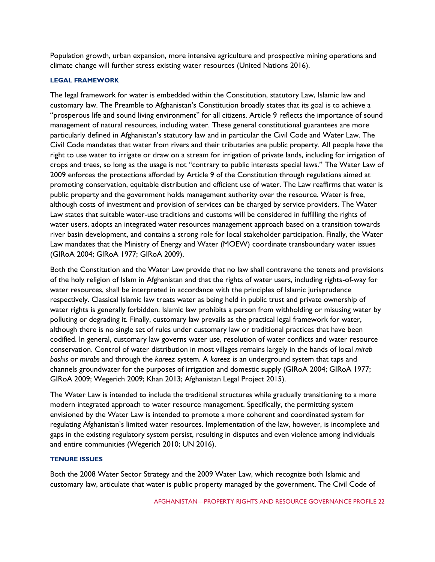Population growth, urban expansion, more intensive agriculture and prospective mining operations and climate change will further stress existing water resources (United Nations 2016).

## **LEGAL FRAMEWORK**

The legal framework for water is embedded within the Constitution, statutory Law, Islamic law and customary law. The Preamble to Afghanistan's Constitution broadly states that its goal is to achieve a "prosperous life and sound living environment" for all citizens. Article 9 reflects the importance of sound management of natural resources, including water. These general constitutional guarantees are more particularly defined in Afghanistan's statutory law and in particular the Civil Code and Water Law. The Civil Code mandates that water from rivers and their tributaries are public property. All people have the right to use water to irrigate or draw on a stream for irrigation of private lands, including for irrigation of crops and trees, so long as the usage is not "contrary to public interests special laws." The Water Law of 2009 enforces the protections afforded by Article 9 of the Constitution through regulations aimed at promoting conservation, equitable distribution and efficient use of water. The Law reaffirms that water is public property and the government holds management authority over the resource. Water is free, although costs of investment and provision of services can be charged by service providers. The Water Law states that suitable water-use traditions and customs will be considered in fulfilling the rights of water users, adopts an integrated water resources management approach based on a transition towards river basin development, and contains a strong role for local stakeholder participation. Finally, the Water Law mandates that the Ministry of Energy and Water (MOEW) coordinate transboundary water issues (GIRoA 2004; GIRoA 1977; GIRoA 2009).

Both the Constitution and the Water Law provide that no law shall contravene the tenets and provisions of the holy religion of Islam in Afghanistan and that the rights of water users, including rights-of-way for water resources, shall be interpreted in accordance with the principles of Islamic jurisprudence respectively. Classical Islamic law treats water as being held in public trust and private ownership of water rights is generally forbidden. Islamic law prohibits a person from withholding or misusing water by polluting or degrading it. Finally, customary law prevails as the practical legal framework for water, although there is no single set of rules under customary law or traditional practices that have been codified. In general, customary law governs water use, resolution of water conflicts and water resource conservation. Control of water distribution in most villages remains largely in the hands of local *mirab bashis* or *mirabs* and through the *kareez* system. A *kareez* is an underground system that taps and channels groundwater for the purposes of irrigation and domestic supply (GIRoA 2004; GIRoA 1977; GIRoA 2009; Wegerich 2009; Khan 2013; Afghanistan Legal Project 2015).

The Water Law is intended to include the traditional structures while gradually transitioning to a more modern integrated approach to water resource management. Specifically, the permitting system envisioned by the Water Law is intended to promote a more coherent and coordinated system for regulating Afghanistan's limited water resources. Implementation of the law, however, is incomplete and gaps in the existing regulatory system persist, resulting in disputes and even violence among individuals and entire communities (Wegerich 2010; UN 2016).

# **TENURE ISSUES**

Both the 2008 Water Sector Strategy and the 2009 Water Law, which recognize both Islamic and customary law, articulate that water is public property managed by the government. The Civil Code of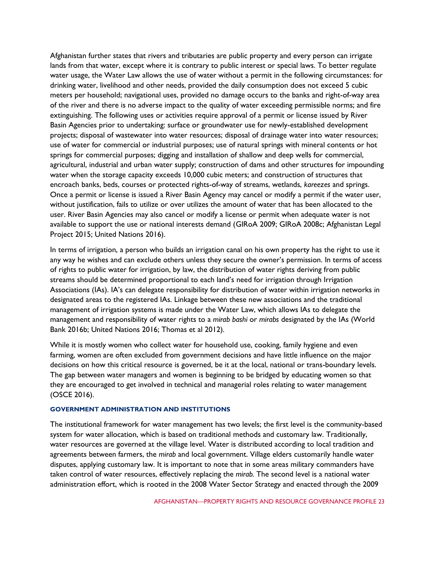Afghanistan further states that rivers and tributaries are public property and every person can irrigate lands from that water, except where it is contrary to public interest or special laws. To better regulate water usage, the Water Law allows the use of water without a permit in the following circumstances: for drinking water, livelihood and other needs, provided the daily consumption does not exceed 5 cubic meters per household; navigational uses, provided no damage occurs to the banks and right-of-way area of the river and there is no adverse impact to the quality of water exceeding permissible norms; and fire extinguishing. The following uses or activities require approval of a permit or license issued by River Basin Agencies prior to undertaking: surface or groundwater use for newly-established development projects; disposal of wastewater into water resources; disposal of drainage water into water resources; use of water for commercial or industrial purposes; use of natural springs with mineral contents or hot springs for commercial purposes; digging and installation of shallow and deep wells for commercial, agricultural, industrial and urban water supply; construction of dams and other structures for impounding water when the storage capacity exceeds 10,000 cubic meters; and construction of structures that encroach banks, beds, courses or protected rights-of-way of streams, wetlands, *kareezes* and springs. Once a permit or license is issued a River Basin Agency may cancel or modify a permit if the water user, without justification, fails to utilize or over utilizes the amount of water that has been allocated to the user. River Basin Agencies may also cancel or modify a license or permit when adequate water is not available to support the use or national interests demand (GIRoA 2009; GIRoA 2008c; Afghanistan Legal Project 2015; United Nations 2016).

In terms of irrigation, a person who builds an irrigation canal on his own property has the right to use it any way he wishes and can exclude others unless they secure the owner's permission. In terms of access of rights to public water for irrigation, by law, the distribution of water rights deriving from public streams should be determined proportional to each land's need for irrigation through Irrigation Associations (IAs). IA's can delegate responsibility for distribution of water within irrigation networks in designated areas to the registered IAs. Linkage between these new associations and the traditional management of irrigation systems is made under the Water Law, which allows IAs to delegate the management and responsibility of water rights to a *mirab bashi* or *mirabs* designated by the IAs (World Bank 2016b; United Nations 2016; Thomas et al 2012).

While it is mostly women who collect water for household use, cooking, family hygiene and even farming, women are often excluded from government decisions and have little influence on the major decisions on how this critical resource is governed, be it at the local, national or trans-boundary levels. The gap between water managers and women is beginning to be bridged by educating women so that they are encouraged to get involved in technical and managerial roles relating to water management (OSCE 2016).

## **GOVERNMENT ADMINISTRATION AND INSTITUTIONS**

The institutional framework for water management has two levels; the first level is the community-based system for water allocation, which is based on traditional methods and customary law. Traditionally, water resources are governed at the village level. Water is distributed according to local tradition and agreements between farmers, the *mirab* and local government. Village elders customarily handle water disputes, applying customary law. It is important to note that in some areas military commanders have taken control of water resources, effectively replacing the *mirab.* The second level is a national water administration effort, which is rooted in the 2008 Water Sector Strategy and enacted through the 2009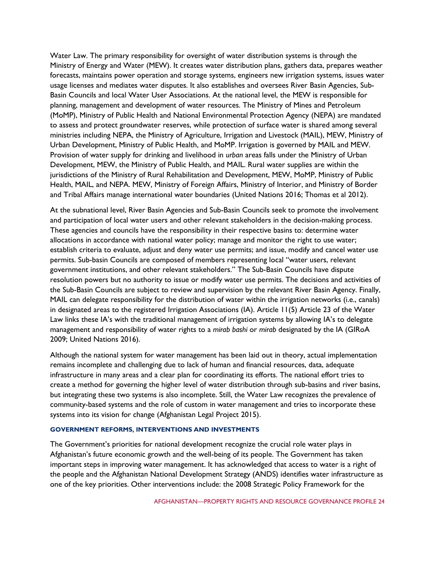Water Law. The primary responsibility for oversight of water distribution systems is through the Ministry of Energy and Water (MEW). It creates water distribution plans, gathers data, prepares weather forecasts, maintains power operation and storage systems, engineers new irrigation systems, issues water usage licenses and mediates water disputes. It also establishes and oversees River Basin Agencies, Sub-Basin Councils and local Water User Associations. At the national level, the MEW is responsible for planning, management and development of water resources. The Ministry of Mines and Petroleum (MoMP), Ministry of Public Health and National Environmental Protection Agency (NEPA) are mandated to assess and protect groundwater reserves, while protection of surface water is shared among several ministries including NEPA, the Ministry of Agriculture, Irrigation and Livestock (MAIL), MEW, Ministry of Urban Development, Ministry of Public Health, and MoMP. Irrigation is governed by MAIL and MEW. Provision of water supply for drinking and livelihood in *urban* areas falls under the Ministry of Urban Development, MEW, the Ministry of Public Health, and MAIL. Rural water supplies are within the jurisdictions of the Ministry of Rural Rehabilitation and Development, MEW, MoMP, Ministry of Public Health, MAIL, and NEPA. MEW, Ministry of Foreign Affairs, Ministry of Interior, and Ministry of Border and Tribal Affairs manage international water boundaries (United Nations 2016; Thomas et al 2012).

At the subnational level, River Basin Agencies and Sub-Basin Councils seek to promote the involvement and participation of local water users and other relevant stakeholders in the decision-making process. These agencies and councils have the responsibility in their respective basins to: determine water allocations in accordance with national water policy; manage and monitor the right to use water; establish criteria to evaluate, adjust and deny water use permits; and issue, modify and cancel water use permits. Sub-basin Councils are composed of members representing local "water users, relevant government institutions, and other relevant stakeholders." The Sub-Basin Councils have dispute resolution powers but no authority to issue or modify water use permits. The decisions and activities of the Sub-Basin Councils are subject to review and supervision by the relevant River Basin Agency. Finally, MAIL can delegate responsibility for the distribution of water within the irrigation networks (i.e., canals) in designated areas to the registered Irrigation Associations (IA). Article 11(5) Article 23 of the Water Law links these IA's with the traditional management of irrigation systems by allowing IA's to delegate management and responsibility of water rights to a *mirab bashi* or *mirab* designated by the IA (GIRoA 2009; United Nations 2016).

Although the national system for water management has been laid out in theory, actual implementation remains incomplete and challenging due to lack of human and financial resources, data, adequate infrastructure in many areas and a clear plan for coordinating its efforts. The national effort tries to create a method for governing the higher level of water distribution through sub-basins and river basins, but integrating these two systems is also incomplete. Still, the Water Law recognizes the prevalence of community-based systems and the role of custom in water management and tries to incorporate these systems into its vision for change (Afghanistan Legal Project 2015).

#### **GOVERNMENT REFORMS, INTERVENTIONS AND INVESTMENTS**

The Government's priorities for national development recognize the crucial role water plays in Afghanistan's future economic growth and the well-being of its people. The Government has taken important steps in improving water management. It has acknowledged that access to water is a right of the people and the Afghanistan National Development Strategy (ANDS) identifies water infrastructure as one of the key priorities. Other interventions include: the 2008 Strategic Policy Framework for the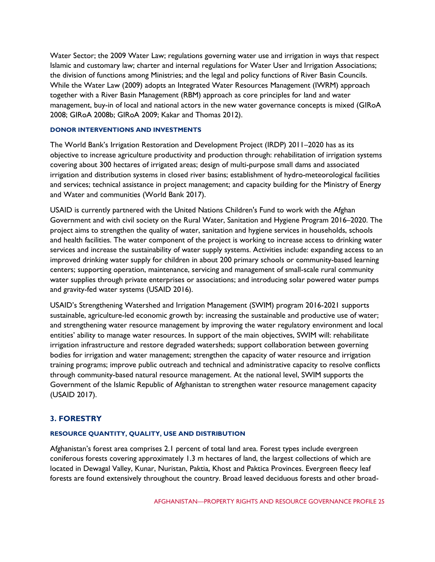Water Sector; the 2009 Water Law; regulations governing water use and irrigation in ways that respect Islamic and customary law; charter and internal regulations for Water User and Irrigation Associations; the division of functions among Ministries; and the legal and policy functions of River Basin Councils. While the Water Law (2009) adopts an Integrated Water Resources Management (IWRM) approach together with a River Basin Management (RBM) approach as core principles for land and water management, buy-in of local and national actors in the new water governance concepts is mixed (GIRoA 2008; GIRoA 2008b; GIRoA 2009; Kakar and Thomas 2012).

#### **DONOR INTERVENTIONS AND INVESTMENTS**

The World Bank's Irrigation Restoration and Development Project (IRDP) 2011–2020 has as its objective to increase agriculture productivity and production through: rehabilitation of irrigation systems covering about 300 hectares of irrigated areas; design of multi-purpose small dams and associated irrigation and distribution systems in closed river basins; establishment of hydro-meteorological facilities and services; technical assistance in project management; and capacity building for the Ministry of Energy and Water and communities (World Bank 2017).

USAID is currently partnered with the United Nations Children's Fund to work with the Afghan Government and with civil society on the Rural Water, Sanitation and Hygiene Program 2016–2020. The project aims to strengthen the quality of water, sanitation and hygiene services in households, schools and health facilities. The water component of the project is working to increase access to drinking water services and increase the sustainability of water supply systems. Activities include: expanding access to an improved drinking water supply for children in about 200 primary schools or community-based learning centers; supporting operation, maintenance, servicing and management of small-scale rural community water supplies through private enterprises or associations; and introducing solar powered water pumps and gravity-fed water systems (USAID 2016).

USAID's Strengthening Watershed and Irrigation Management (SWIM) program 2016-2021 supports sustainable, agriculture-led economic growth by: increasing the sustainable and productive use of water; and strengthening water resource management by improving the water regulatory environment and local entities' ability to manage water resources. In support of the main objectives, SWIM will: rehabilitate irrigation infrastructure and restore degraded watersheds; support collaboration between governing bodies for irrigation and water management; strengthen the capacity of water resource and irrigation training programs; improve public outreach and technical and administrative capacity to resolve conflicts through community-based natural resource management. At the national level, SWIM supports the Government of the Islamic Republic of Afghanistan to strengthen water resource management capacity (USAID 2017).

# **3. FORESTRY**

# **RESOURCE QUANTITY, QUALITY, USE AND DISTRIBUTION**

Afghanistan's forest area comprises 2.1 percent of total land area. Forest types include evergreen coniferous forests covering approximately 1.3 m hectares of land, the largest collections of which are located in Dewagal Valley, Kunar, Nuristan, Paktia, Khost and Paktica Provinces. Evergreen fleecy leaf forests are found extensively throughout the country. Broad leaved deciduous forests and other broad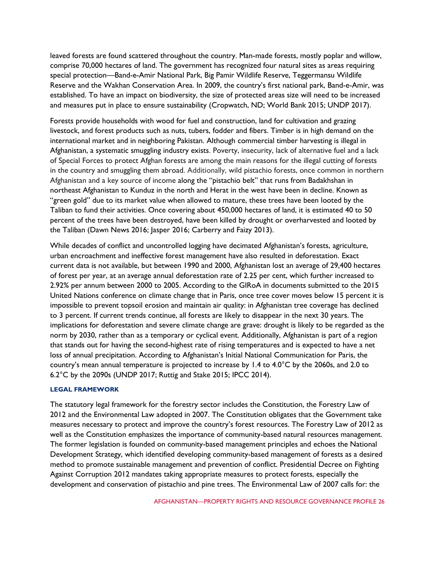leaved forests are found scattered throughout the country. Man-made forests, mostly poplar and willow, comprise 70,000 hectares of land. The government has recognized four natural sites as areas requiring special protection—Band-e-Amir National Park, Big Pamir Wildlife Reserve, Teggermansu Wildlife Reserve and the Wakhan Conservation Area. In 2009, the country's first national park, Band-e-Amir, was established. To have an impact on biodiversity, the size of protected areas size will need to be increased and measures put in place to ensure sustainability (Cropwatch, ND; World Bank 2015; UNDP 2017).

Forests provide households with wood for fuel and construction, land for cultivation and grazing livestock, and forest products such as nuts, tubers, fodder and fibers. Timber is in high demand on the international market and in neighboring Pakistan. Although commercial timber harvesting is illegal in Afghanistan, a systematic smuggling industry exists. Poverty, insecurity, lack of alternative fuel and a lack of Special Forces to protect Afghan forests are among the main reasons for the illegal cutting of forests in the country and smuggling them abroad. Additionally, wild pistachio forests, once common in northern Afghanistan and a key source of income along the "pistachio belt" that runs from Badakhshan in northeast Afghanistan to Kunduz in the north and Herat in the west have been in decline. Known as "green gold" due to its market value when allowed to mature, these trees have been looted by the Taliban to fund their activities. Once covering about 450,000 hectares of land, it is estimated 40 to 50 percent of the trees have been destroyed, have been killed by drought or overharvested and looted by the Taliban (Dawn News 2016; Jasper 2016; Carberry and Faizy 2013).

While decades of conflict and uncontrolled logging have decimated Afghanistan's forests, agriculture, urban encroachment and ineffective forest management have also resulted in deforestation. Exact current data is not available, but between 1990 and 2000, Afghanistan lost an average of 29,400 hectares of forest per year, at an average annual deforestation rate of 2.25 per cent, which further increased to 2.92% per annum between 2000 to 2005. According to the GIRoA in documents submitted to the 2015 United Nations conference on climate change that in Paris, once tree cover moves below 15 percent it is impossible to prevent topsoil erosion and maintain air quality: in Afghanistan tree coverage has declined to 3 percent. If current trends continue, all forests are likely to disappear in the next 30 years. The implications for deforestation and severe climate change are grave: drought is likely to be regarded as the norm by 2030, rather than as a temporary or cyclical event. Additionally, Afghanistan is part of a region that stands out for having the second-highest rate of rising temperatures and is expected to have a net loss of annual precipitation. According to Afghanistan's Initial National Communication for Paris, the country's mean annual temperature is projected to increase by 1.4 to 4.0°C by the 2060s, and 2.0 to 6.2°C by the 2090s (UNDP 2017; Ruttig and Stake 2015; IPCC 2014).

#### **LEGAL FRAMEWORK**

The statutory legal framework for the forestry sector includes the Constitution, the Forestry Law of 2012 and the Environmental Law adopted in 2007. The Constitution obligates that the Government take measures necessary to protect and improve the country's forest resources. The Forestry Law of 2012 as well as the Constitution emphasizes the importance of community-based natural resources management. The former legislation is founded on community-based management principles and echoes the National Development Strategy, which identified developing community-based management of forests as a desired method to promote sustainable management and prevention of conflict. Presidential Decree on Fighting Against Corruption 2012 mandates taking appropriate measures to protect forests, especially the development and conservation of pistachio and pine trees. The Environmental Law of 2007 calls for: the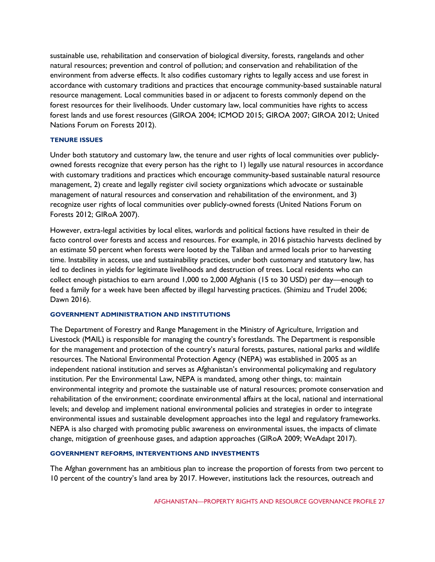sustainable use, rehabilitation and conservation of biological diversity, forests, rangelands and other natural resources; prevention and control of pollution; and conservation and rehabilitation of the environment from adverse effects. It also codifies customary rights to legally access and use forest in accordance with customary traditions and practices that encourage community-based sustainable natural resource management. Local communities based in or adjacent to forests commonly depend on the forest resources for their livelihoods. Under customary law, local communities have rights to access forest lands and use forest resources (GIROA 2004; ICMOD 2015; GIROA 2007; GIROA 2012; United Nations Forum on Forests 2012).

#### **TENURE ISSUES**

Under both statutory and customary law, the tenure and user rights of local communities over publiclyowned forests recognize that every person has the right to 1) legally use natural resources in accordance with customary traditions and practices which encourage community-based sustainable natural resource management, 2) create and legally register civil society organizations which advocate or sustainable management of natural resources and conservation and rehabilitation of the environment, and 3) recognize user rights of local communities over publicly-owned forests (United Nations Forum on Forests 2012; GIRoA 2007).

However, extra-legal activities by local elites, warlords and political factions have resulted in their de facto control over forests and access and resources. For example, in 2016 pistachio harvests declined by an estimate 50 percent when forests were looted by the Taliban and armed locals prior to harvesting time. Instability in access, use and sustainability practices, under both customary and statutory law, has led to declines in yields for legitimate livelihoods and destruction of trees. Local residents who can collect enough pistachios to earn around 1,000 to 2,000 Afghanis (15 to 30 USD) per day—enough to feed a family for a week have been affected by illegal harvesting practices. (Shimizu and Trudel 2006; Dawn 2016).

# **GOVERNMENT ADMINISTRATION AND INSTITUTIONS**

The Department of Forestry and Range Management in the Ministry of Agriculture, Irrigation and Livestock (MAIL) is responsible for managing the country's forestlands. The Department is responsible for the management and protection of the country's natural forests, pastures, national parks and wildlife resources. The National Environmental Protection Agency (NEPA) was established in 2005 as an independent national institution and serves as Afghanistan's environmental policymaking and regulatory institution. Per the Environmental Law, NEPA is mandated, among other things, to: maintain environmental integrity and promote the sustainable use of natural resources; promote conservation and rehabilitation of the environment; coordinate environmental affairs at the local, national and international levels; and develop and implement national environmental policies and strategies in order to integrate environmental issues and sustainable development approaches into the legal and regulatory frameworks. NEPA is also charged with promoting public awareness on environmental issues, the impacts of climate change, mitigation of greenhouse gases, and adaption approaches (GIRoA 2009; WeAdapt 2017).

# **GOVERNMENT REFORMS, INTERVENTIONS AND INVESTMENTS**

The Afghan government has an ambitious plan to increase the proportion of forests from two percent to 10 percent of the country's land area by 2017. However, institutions lack the resources, outreach and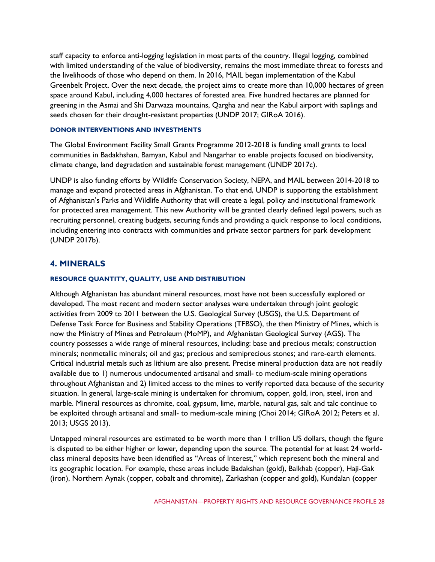staff capacity to enforce anti-logging legislation in most parts of the country. Illegal logging, combined with limited understanding of the value of biodiversity, remains the most immediate threat to forests and the livelihoods of those who depend on them. In 2016, MAIL began implementation of the [Kabul](http://mail.gov.af/en/news/59158)  [Greenbelt Project.](http://mail.gov.af/en/news/59158) Over the next decade, the project aims to create more than 10,000 hectares of green space around Kabul, including 4,000 hectares of forested area. Five hundred hectares are planned for greening in the Asmai and Shi Darwaza mountains, Qargha and near the Kabul airport with saplings and seeds chosen for their drought-resistant properties (UNDP 2017; GIRoA 2016).

#### **DONOR INTERVENTIONS AND INVESTMENTS**

The Global Environment Facility Small Grants Programme 2012-2018 is funding small grants to local communities in Badakhshan, Bamyan, Kabul and Nangarhar to enable projects focused on biodiversity, climate change, land degradation and sustainable forest management (UNDP 2017c).

UNDP is also funding efforts by Wildlife Conservation Society, NEPA, and MAIL between 2014-2018 to manage and expand protected areas in Afghanistan. To that end, UNDP is supporting the establishment of Afghanistan's Parks and Wildlife Authority that will create a legal, policy and institutional framework for protected area management. This new Authority will be granted clearly defined legal powers, such as recruiting personnel, creating budgets, securing funds and providing a quick response to local conditions, including entering into contracts with communities and private sector partners for park development (UNDP 2017b).

# **4. MINERALS**

# **RESOURCE QUANTITY, QUALITY, USE AND DISTRIBUTION**

Although Afghanistan has abundant mineral resources, most have not been successfully explored or developed. The most recent and modern sector analyses were undertaken through joint geologic activities from 2009 to 2011 between the U.S. Geological Survey (USGS), the U.S. Department of Defense Task Force for Business and Stability Operations (TFBSO), the then Ministry of Mines, which is now the Ministry of Mines and Petroleum (MoMP), and Afghanistan Geological Survey (AGS). The country possesses a wide range of mineral resources, including: base and precious metals; construction minerals; nonmetallic minerals; oil and gas; precious and semiprecious stones; and rare-earth elements. Critical industrial metals such as lithium are also present. Precise mineral production data are not readily available due to 1) numerous undocumented artisanal and small- to medium-scale mining operations throughout Afghanistan and 2) limited access to the mines to verify reported data because of the security situation. In general, large-scale mining is undertaken for chromium, copper, gold, iron, steel, iron and marble. Mineral resources as chromite, coal, gypsum, lime, marble, natural gas, salt and talc continue to be exploited through artisanal and small- to medium-scale mining (Choi 2014; GIRoA 2012; Peters et al. 2013; USGS 2013).

Untapped mineral resources are estimated to be worth more than 1 trillion US dollars, though the figure is disputed to be either higher or lower, depending upon the source. The potential for at least 24 worldclass mineral deposits have been identified as "Areas of Interest," which represent both the mineral and its geographic location. For example, these areas include Badakshan (gold), Balkhab (copper), Haji-Gak (iron), Northern Aynak (copper, cobalt and chromite), Zarkashan (copper and gold), Kundalan (copper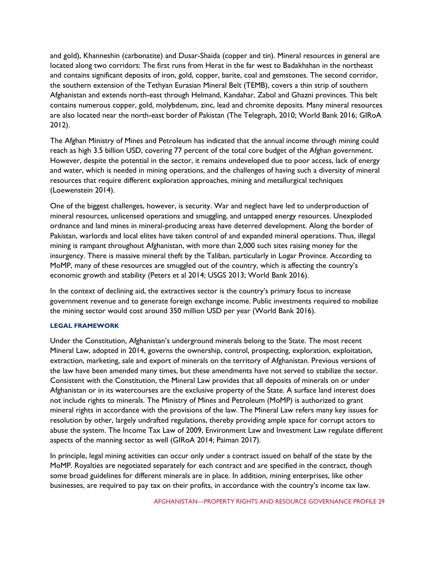and gold), Khanneshin (carbonatite) and Dusar-Shaida (copper and tin). Mineral resources in general are located along two corridors: The first runs from Herat in the far west to Badakhshan in the northeast and contains significant deposits of iron, gold, copper, barite, coal and gemstones. The second corridor, the southern extension of the Tethyan Eurasian Mineral Belt (TEMB), covers a thin strip of southern Afghanistan and extends north-east through Helmand, Kandahar, Zabol and Ghazni provinces. This belt contains numerous copper, gold, molybdenum, zinc, lead and chromite deposits. Many mineral resources are also located near the north-east border of Pakistan (The Telegraph, 2010; World Bank 2016; GIRoA 2012).

The Afghan Ministry of Mines and Petroleum has indicated that the annual income through mining could reach as high 3.5 billion USD, covering 77 percent of the total core budget of the Afghan government. However, despite the potential in the sector, it remains undeveloped due to poor access, lack of energy and water, which is needed in mining operations, and the challenges of having such a diversity of mineral resources that require different exploration approaches, mining and metallurgical techniques (Loewenstein 2014).

One of the biggest challenges, however, is security. War and neglect have led to underproduction of mineral resources, unlicensed operations and smuggling, and untapped energy resources. Unexploded ordnance and land mines in mineral-producing areas have deterred development. Along the border of Pakistan, warlords and local elites have taken control of and expanded mineral operations. Thus, illegal mining is rampant throughout Afghanistan, with more than 2,000 such sites raising money for the insurgency. There is massive mineral theft by the Taliban, particularly in Logar Province. According to MoMP, many of these resources are smuggled out of the country, which is affecting the country's economic growth and stability (Peters et al 2014; USGS 2013; World Bank 2016).

In the context of declining aid, the extractives sector is the country's primary focus to increase government revenue and to generate foreign exchange income. Public investments required to mobilize the mining sector would cost around 350 million USD per year (World Bank 2016).

#### **LEGAL FRAMEWORK**

Under the Constitution, Afghanistan's underground minerals belong to the State. The most recent Mineral Law, adopted in 2014, governs the ownership, control, prospecting, exploration, exploitation, extraction, marketing, sale and export of minerals on the territory of Afghanistan. Previous versions of the law have been amended many times, but these amendments have not served to stabilize the sector. Consistent with the Constitution, the Mineral Law provides that all deposits of minerals on or under Afghanistan or in its watercourses are the exclusive property of the State. A surface land interest does not include rights to minerals. The Ministry of Mines and Petroleum (MoMP) is authorized to grant mineral rights in accordance with the provisions of the law. The Mineral Law refers many key issues for resolution by other, largely undrafted regulations, thereby providing ample space for corrupt actors to abuse the system. The Income Tax Law of 2009, Environment Law and Investment Law regulate different aspects of the manning sector as well (GIRoA 2014; Paiman 2017).

In principle, legal mining activities can occur only under a contract issued on behalf of the state by the MoMP. Royalties are negotiated separately for each contract and are specified in the contract, though some broad guidelines for different minerals are in place. In addition, mining enterprises, like other businesses, are required to pay tax on their profits, in accordance with the country's income tax law.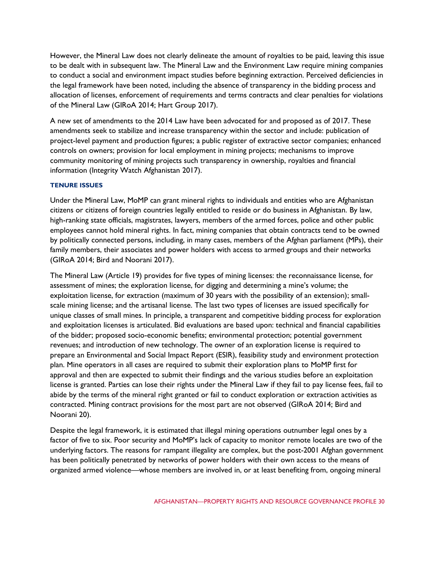However, the Mineral Law does not clearly delineate the amount of royalties to be paid, leaving this issue to be dealt with in subsequent law. The Mineral Law and the Environment Law require mining companies to conduct a social and environment impact studies before beginning extraction. Perceived deficiencies in the legal framework have been noted, including the absence of transparency in the bidding process and allocation of licenses, enforcement of requirements and terms contracts and clear penalties for violations of the Mineral Law (GIRoA 2014; Hart Group 2017).

A new set of amendments to the 2014 Law have been advocated for and proposed as of 2017. These amendments seek to stabilize and increase transparency within the sector and include: publication of project-level payment and production figures; a public register of extractive sector companies; enhanced controls on owners; provision for local employment in mining projects; mechanisms to improve community monitoring of mining projects such transparency in ownership, royalties and financial information (Integrity Watch Afghanistan 2017).

## **TENURE ISSUES**

Under the Mineral Law, MoMP can grant mineral rights to individuals and entities who are Afghanistan citizens or citizens of foreign countries legally entitled to reside or do business in Afghanistan. By law, high-ranking state officials, magistrates, lawyers, members of the armed forces, police and other public employees cannot hold mineral rights. In fact, mining companies that obtain contracts tend to be owned by politically connected persons, including, in many cases, members of the Afghan parliament (MPs), their family members, their associates and power holders with access to armed groups and their networks (GIRoA 2014; Bird and Noorani 2017).

The Mineral Law (Article 19) provides for five types of mining licenses: the reconnaissance license, for assessment of mines; the exploration license, for digging and determining a mine's volume; the exploitation license, for extraction (maximum of 30 years with the possibility of an extension); smallscale mining license; and the artisanal license. The last two types of licenses are issued specifically for unique classes of small mines. In principle, a transparent and competitive bidding process for exploration and exploitation licenses is articulated. Bid evaluations are based upon: technical and financial capabilities of the bidder; proposed socio-economic benefits; environmental protection; potential government revenues; and introduction of new technology. The owner of an exploration license is required to prepare an Environmental and Social Impact Report (ESIR), feasibility study and environment protection plan. Mine operators in all cases are required to submit their exploration plans to MoMP first for approval and then are expected to submit their findings and the various studies before an exploitation license is granted. Parties can lose their rights under the Mineral Law if they fail to pay license fees, fail to abide by the terms of the mineral right granted or fail to conduct exploration or extraction activities as contracted. Mining contract provisions for the most part are not observed (GIRoA 2014; Bird and Noorani 20).

Despite the legal framework, it is estimated that illegal mining operations outnumber legal ones by a factor of five to six. Poor security and MoMP's lack of capacity to monitor remote locales are two of the underlying factors. The reasons for rampant illegality are complex, but the post-2001 Afghan government has been politically penetrated by networks of power holders with their own access to the means of organized armed violence—whose members are involved in, or at least benefiting from, ongoing mineral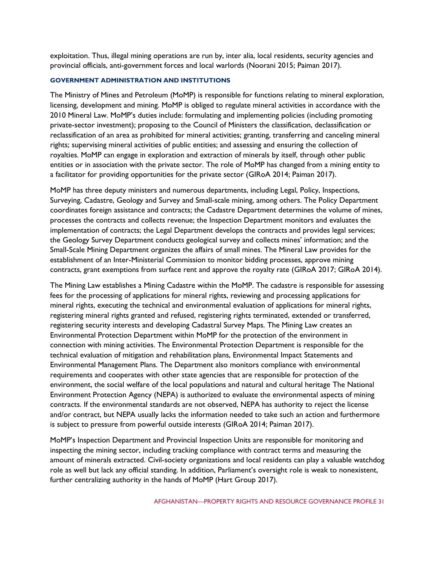exploitation. Thus, illegal mining operations are run by, inter alia, local residents, security agencies and provincial officials, anti-government forces and local warlords (Noorani 2015; Paiman 2017).

#### **GOVERNMENT ADMINISTRATION AND INSTITUTIONS**

The Ministry of Mines and Petroleum (MoMP) is responsible for functions relating to mineral exploration, licensing, development and mining. MoMP is obliged to regulate mineral activities in accordance with the 2010 Mineral Law. MoMP's duties include: formulating and implementing policies (including promoting private-sector investment); proposing to the Council of Ministers the classification, declassification or reclassification of an area as prohibited for mineral activities; granting, transferring and canceling mineral rights; supervising mineral activities of public entities; and assessing and ensuring the collection of royalties. MoMP can engage in exploration and extraction of minerals by itself, through other public entities or in association with the private sector. The role of MoMP has changed from a mining entity to a facilitator for providing opportunities for the private sector (GIRoA 2014; Paiman 2017).

MoMP has three deputy ministers and numerous departments, including Legal, Policy, Inspections, Surveying, Cadastre, Geology and Survey and Small-scale mining, among others. The Policy Department coordinates foreign assistance and contracts; the Cadastre Department determines the volume of mines, processes the contracts and collects revenue; the Inspection Department monitors and evaluates the implementation of contracts; the Legal Department develops the contracts and provides legal services; the Geology Survey Department conducts geological survey and collects mines' information; and the Small-Scale Mining Department organizes the affairs of small mines. The Mineral Law provides for the establishment of an Inter-Ministerial Commission to monitor bidding processes, approve mining contracts, grant exemptions from surface rent and approve the royalty rate (GIRoA 2017; GIRoA 2014).

The Mining Law establishes a Mining Cadastre within the MoMP. The cadastre is responsible for assessing fees for the processing of applications for mineral rights, reviewing and processing applications for mineral rights, executing the technical and environmental evaluation of applications for mineral rights, registering mineral rights granted and refused, registering rights terminated, extended or transferred, registering security interests and developing Cadastral Survey Maps. The Mining Law creates an Environmental Protection Department within MoMP for the protection of the environment in connection with mining activities. The Environmental Protection Department is responsible for the technical evaluation of mitigation and rehabilitation plans, Environmental Impact Statements and Environmental Management Plans. The Department also monitors compliance with environmental requirements and cooperates with other state agencies that are responsible for protection of the environment, the social welfare of the local populations and natural and cultural heritage The National Environment Protection Agency (NEPA) is authorized to evaluate the environmental aspects of mining contracts. If the environmental standards are not observed, NEPA has authority to reject the license and/or contract, but NEPA usually lacks the information needed to take such an action and furthermore is subject to pressure from powerful outside interests (GIRoA 2014; Paiman 2017).

MoMP's Inspection Department and Provincial Inspection Units are responsible for monitoring and inspecting the mining sector, including tracking compliance with contract terms and measuring the amount of minerals extracted. Civil-society organizations and local residents can play a valuable watchdog role as well but lack any official standing. In addition, Parliament's oversight role is weak to nonexistent, further centralizing authority in the hands of MoMP (Hart Group 2017).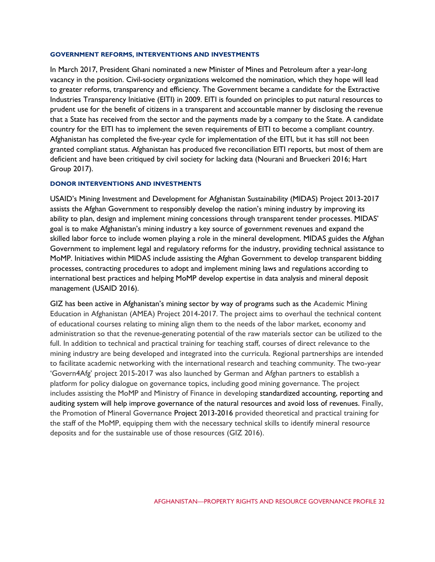#### **GOVERNMENT REFORMS, INTERVENTIONS AND INVESTMENTS**

In March 2017, President Ghani nominated a new Minister of Mines and Petroleum after a year-long vacancy in the position. Civil-society organizations welcomed the nomination, which they hope will lead to greater reforms, transparency and efficiency. The Government became a candidate for the Extractive Industries Transparency Initiative (EITI) in 2009. EITI is founded on principles to put natural resources to prudent use for the benefit of citizens in a transparent and accountable manner by disclosing the revenue that a State has received from the sector and the payments made by a company to the State. A candidate country for the EITI has to implement the seven requirements of EITI to become a compliant country. Afghanistan has completed the five-year cycle for implementation of the EITI, but it has still not been granted compliant status. Afghanistan has produced five reconciliation EITI reports, but most of them are deficient and have been critiqued by civil society for lacking data (Nourani and Brueckeri 2016; Hart Group 2017).

#### **DONOR INTERVENTIONS AND INVESTMENTS**

USAID's Mining Investment and Development for Afghanistan Sustainability (MIDAS) Project 2013-2017 assists the Afghan Government to responsibly develop the nation's mining industry by improving its ability to plan, design and implement mining concessions through transparent tender processes. MIDAS' goal is to make Afghanistan's mining industry a key source of government revenues and expand the skilled labor force to include women playing a role in the mineral development. MIDAS guides the Afghan Government to implement legal and regulatory reforms for the industry, providing technical assistance to MoMP. Initiatives within MIDAS include assisting the Afghan Government to develop transparent bidding processes, contracting procedures to adopt and implement mining laws and regulations according to international best practices and helping MoMP develop expertise in data analysis and mineral deposit management (USAID 2016).

GIZ has been active in Afghanistan's mining sector by way of programs such as the Academic Mining Education in Afghanistan (AMEA) Project 2014-2017. The project aims to overhaul the technical content of educational courses relating to mining align them to the needs of the labor market, economy and administration so that the revenue-generating potential of the raw materials sector can be utilized to the full. In addition to technical and practical training for teaching staff, courses of direct relevance to the mining industry are being developed and integrated into the curricula. Regional partnerships are intended to facilitate academic networking with the international research and teaching community. The two-year 'Govern4Afg' project 2015-2017 was also launched by German and Afghan partners to establish a platform for policy dialogue on governance topics, including good mining governance. The project includes assisting the MoMP and Ministry of Finance in developing standardized accounting, reporting and auditing system will help improve governance of the natural resources and avoid loss of revenues. Finally, the Promotion of Mineral Governance Project 2013-2016 provided theoretical and practical training for the staff of the MoMP, equipping them with the necessary technical skills to identify mineral resource deposits and for the sustainable use of those resources (GIZ 2016).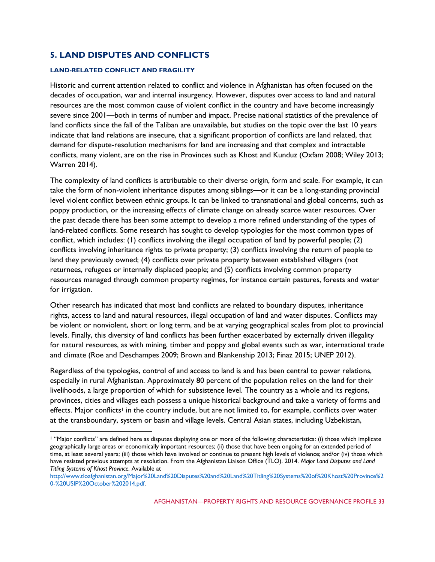# **5. LAND DISPUTES AND CONFLICTS**

#### **LAND-RELATED CONFLICT AND FRAGILITY**

Historic and current attention related to conflict and violence in Afghanistan has often focused on the decades of occupation, war and internal insurgency. However, disputes over access to land and natural resources are the most common cause of violent conflict in the country and have become increasingly severe since 2001—both in terms of number and impact. Precise national statistics of the prevalence of land conflicts since the fall of the Taliban are unavailable, but studies on the topic over the last 10 years indicate that land relations are insecure, that a significant proportion of conflicts are land related, that demand for dispute-resolution mechanisms for land are increasing and that complex and intractable conflicts, many violent, are on the rise in Provinces such as Khost and Kunduz (Oxfam 2008; Wiley 2013; Warren 2014).

The complexity of land conflicts is attributable to their diverse origin, form and scale. For example, it can take the form of non-violent inheritance disputes among siblings—or it can be a long-standing provincial level violent conflict between ethnic groups. It can be linked to transnational and global concerns, such as poppy production, or the increasing effects of climate change on already scarce water resources. Over the past decade there has been some attempt to develop a more refined understanding of the types of land-related conflicts. Some research has sought to develop typologies for the most common types of conflict, which includes: (1) conflicts involving the illegal occupation of land by powerful people; (2) conflicts involving inheritance rights to private property; (3) conflicts involving the return of people to land they previously owned; (4) conflicts over private property between established villagers (not returnees, refugees or internally displaced people; and (5) conflicts involving common property resources managed through common property regimes, for instance certain pastures, forests and water for irrigation.

Other research has indicated that most land conflicts are related to boundary disputes, inheritance rights, access to land and natural resources, illegal occupation of land and water disputes. Conflicts may be violent or nonviolent, short or long term, and be at varying geographical scales from plot to provincial levels. Finally, this diversity of land conflicts has been further exacerbated by externally driven illegality for natural resources, as with mining, timber and poppy and global events such as war, international trade and climate (Roe and Deschampes 2009; Brown and Blankenship 2013; Finaz 2015; UNEP 2012).

Regardless of the typologies, control of and access to land is and has been central to power relations, especially in rural Afghanistan. Approximately 80 percent of the population relies on the land for their livelihoods, a large proportion of which for subsistence level. The country as a whole and its regions, provinces, cities and villages each possess a unique historical background and take a variety of forms and effects. Major conflicts<sup>1</sup> in the country include, but are not limited to, for example, conflicts over water at the transboundary, system or basin and village levels. Central Asian states, including Uzbekistan,

<sup>1</sup> "Major conflicts" are defined here as disputes displaying one or more of the following characteristics: (i) those which implicate geographically large areas or economically important resources; (ii) those that have been ongoing for an extended period of time, at least several years; (iii) those which have involved or continue to present high levels of violence; and/or (iv) those which have resisted previous attempts at resolution. From the Afghanistan Liaison Office (TLO). 2014. *Major Land Disputes and Land Titling Systems of Khost Province.* Available at

[http://www.tloafghanistan.org/Major%20Land%20Disputes%20and%20Land%20Titling%20Systems%20of%20Khost%20Province%2](http://www.tloafghanistan.org/Major%20Land%20Disputes%20and%20Land%20Titling%20Systems%20of%20Khost%20Province%20-%20USIP%20October%202014.pdf) [0-%20USIP%20October%202014.pdf](http://www.tloafghanistan.org/Major%20Land%20Disputes%20and%20Land%20Titling%20Systems%20of%20Khost%20Province%20-%20USIP%20October%202014.pdf)*.*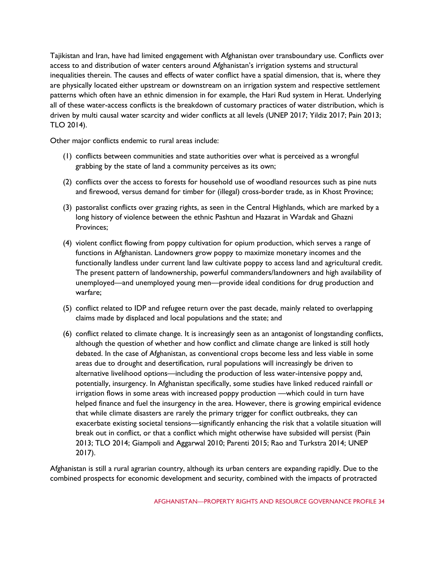Tajikistan and Iran, have had limited engagement with Afghanistan over transboundary use. Conflicts over access to and distribution of water centers around Afghanistan's irrigation systems and structural inequalities therein. The causes and effects of water conflict have a spatial dimension, that is, where they are physically located either upstream or downstream on an irrigation system and respective settlement patterns which often have an ethnic dimension in for example, the Hari Rud system in Herat. Underlying all of these water-access conflicts is the breakdown of customary practices of water distribution, which is driven by multi causal water scarcity and wider conflicts at all levels (UNEP 2017; Yildiz 2017; Pain 2013; TLO 2014).

Other major conflicts endemic to rural areas include:

- (1) conflicts between communities and state authorities over what is perceived as a wrongful grabbing by the state of land a community perceives as its own;
- (2) conflicts over the access to forests for household use of woodland resources such as pine nuts and firewood, versus demand for timber for (illegal) cross-border trade, as in Khost Province;
- (3) pastoralist conflicts over grazing rights, as seen in the Central Highlands, which are marked by a long history of violence between the ethnic Pashtun and Hazarat in Wardak and Ghazni Provinces;
- (4) violent conflict flowing from poppy cultivation for opium production, which serves a range of functions in Afghanistan. Landowners grow poppy to maximize monetary incomes and the functionally landless under current land law cultivate poppy to access land and agricultural credit. The present pattern of landownership, powerful commanders/landowners and high availability of unemployed—and unemployed young men—provide ideal conditions for drug production and warfare;
- (5) conflict related to IDP and refugee return over the past decade, mainly related to overlapping claims made by displaced and local populations and the state; and
- (6) conflict related to climate change. It is increasingly seen as an antagonist of longstanding conflicts, although the question of whether and how conflict and climate change are linked is still hotly debated. In the case of Afghanistan, as conventional crops become less and less viable in some areas due to drought and desertification, rural populations will increasingly be driven to alternative livelihood options—including the production of less water-intensive poppy and, potentially, insurgency. In Afghanistan specifically, some studies have linked reduced rainfall or irrigation flows in some areas with increased poppy production —which could in turn have helped finance and fuel the insurgency in the area. However, there is growing empirical evidence that while climate disasters are rarely the primary trigger for conflict outbreaks, they can exacerbate existing societal tensions—significantly enhancing the risk that a volatile situation will break out in conflict, or that a conflict which might otherwise have subsided will persist (Pain 2013; TLO 2014; Giampoli and Aggarwal 2010; Parenti 2015; Rao and Turkstra 2014; UNEP 2017).

Afghanistan is still a rural agrarian country, although its urban centers are expanding rapidly. Due to the combined prospects for economic development and security, combined with the impacts of protracted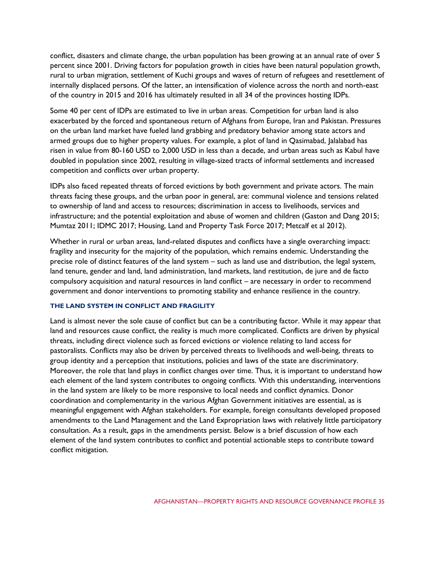conflict, disasters and climate change, the urban population has been growing at an annual rate of over 5 percent since 2001. Driving factors for population growth in cities have been natural population growth, rural to urban migration, settlement of Kuchi groups and waves of return of refugees and resettlement of internally displaced persons. Of the latter, an intensification of violence across the north and north-east of the country in 2015 and 2016 has ultimately resulted in all 34 of the provinces hosting IDPs.

Some 40 per cent of IDPs are estimated to live in urban areas. Competition for urban land is also exacerbated by the forced and spontaneous return of Afghans from Europe, Iran and Pakistan. Pressures on the urban land market have fueled land grabbing and predatory behavior among state actors and armed groups due to higher property values. For example, a plot of land in Qasimabad, Jalalabad has risen in value from 80-160 USD to 2,000 USD in less than a decade, and urban areas such as Kabul have doubled in population since 2002, resulting in village-sized tracts of informal settlements and increased competition and conflicts over urban property.

IDPs also faced repeated threats of forced evictions by both government and private actors. The main threats facing these groups, and the urban poor in general, are: communal violence and tensions related to ownership of land and access to resources; discrimination in access to livelihoods, services and infrastructure; and the potential exploitation and abuse of women and children (Gaston and Dang 2015; Mumtaz 2011; IDMC 2017; Housing, Land and Property Task Force 2017; Metcalf et al 2012).

Whether in rural or urban areas, land-related disputes and conflicts have a single overarching impact: fragility and insecurity for the majority of the population, which remains endemic. Understanding the precise role of distinct features of the land system – such as land use and distribution, the legal system, land tenure, gender and land, land administration, land markets, land restitution, de jure and de facto compulsory acquisition and natural resources in land conflict – are necessary in order to recommend government and donor interventions to promoting stability and enhance resilience in the country.

#### **THE LAND SYSTEM IN CONFLICT AND FRAGILITY**

Land is almost never the sole cause of conflict but can be a contributing factor. While it may appear that land and resources cause conflict, the reality is much more complicated. Conflicts are driven by physical threats, including direct violence such as forced evictions or violence relating to land access for pastoralists. Conflicts may also be driven by perceived threats to livelihoods and well-being, threats to group identity and a perception that institutions, policies and laws of the state are discriminatory. Moreover, the role that land plays in conflict changes over time. Thus, it is important to understand how each element of the land system contributes to ongoing conflicts. With this understanding, interventions in the land system are likely to be more responsive to local needs and conflict dynamics. Donor coordination and complementarity in the various Afghan Government initiatives are essential, as is meaningful engagement with Afghan stakeholders. For example, foreign consultants developed proposed amendments to the Land Management and the Land Expropriation laws with relatively little participatory consultation. As a result, gaps in the amendments persist. Below is a brief discussion of how each element of the land system contributes to conflict and potential actionable steps to contribute toward conflict mitigation.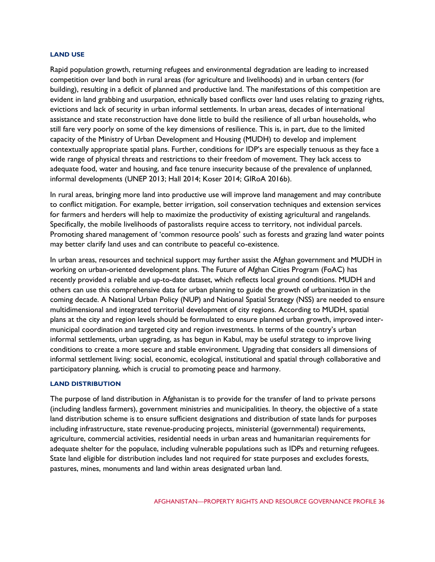#### **LAND USE**

Rapid population growth, returning refugees and environmental degradation are leading to increased competition over land both in rural areas (for agriculture and livelihoods) and in urban centers (for building), resulting in a deficit of planned and productive land. The manifestations of this competition are evident in land grabbing and usurpation, ethnically based conflicts over land uses relating to grazing rights, evictions and lack of security in urban informal settlements. In urban areas, decades of international assistance and state reconstruction have done little to build the resilience of all urban households, who still fare very poorly on some of the key dimensions of resilience. This is, in part, due to the limited capacity of the Ministry of Urban Development and Housing (MUDH) to develop and implement contextually appropriate spatial plans. Further, conditions for IDP's are especially tenuous as they face a wide range of physical threats and restrictions to their freedom of movement. They lack access to adequate food, water and housing, and face tenure insecurity because of the prevalence of unplanned, informal developments (UNEP 2013; Hall 2014; Koser 2014; GIRoA 2016b).

In rural areas, bringing more land into productive use will improve land management and may contribute to conflict mitigation. For example, better irrigation, soil conservation techniques and extension services for farmers and herders will help to maximize the productivity of existing agricultural and rangelands. Specifically, the mobile livelihoods of pastoralists require access to territory, not individual parcels. Promoting shared management of 'common resource pools' such as forests and grazing land water points may better clarify land uses and can contribute to peaceful co-existence.

In urban areas, resources and technical support may further assist the Afghan government and MUDH in working on urban-oriented development plans. The Future of Afghan Cities Program (FoAC) has recently provided a reliable and up-to-date dataset, which reflects local ground conditions. MUDH and others can use this comprehensive data for urban planning to guide the growth of urbanization in the coming decade. A National Urban Policy (NUP) and National Spatial Strategy (NSS) are needed to ensure multidimensional and integrated territorial development of city regions. According to MUDH, spatial plans at the city and region levels should be formulated to ensure planned urban growth, improved intermunicipal coordination and targeted city and region investments. In terms of the country's urban informal settlements, urban upgrading, as has begun in Kabul, may be useful strategy to improve living conditions to create a more secure and stable environment. Upgrading that considers all dimensions of informal settlement living: social, economic, ecological, institutional and spatial through collaborative and participatory planning, which is crucial to promoting peace and harmony.

#### **LAND DISTRIBUTION**

The purpose of land distribution in Afghanistan is to provide for the transfer of land to private persons (including landless farmers), government ministries and municipalities. In theory, the objective of a state land distribution scheme is to ensure sufficient designations and distribution of state lands for purposes including infrastructure, state revenue-producing projects, ministerial (governmental) requirements, agriculture, commercial activities, residential needs in urban areas and humanitarian requirements for adequate shelter for the populace, including vulnerable populations such as IDPs and returning refugees. State land eligible for distribution includes land not required for state purposes and excludes forests, pastures, mines, monuments and land within areas designated urban land.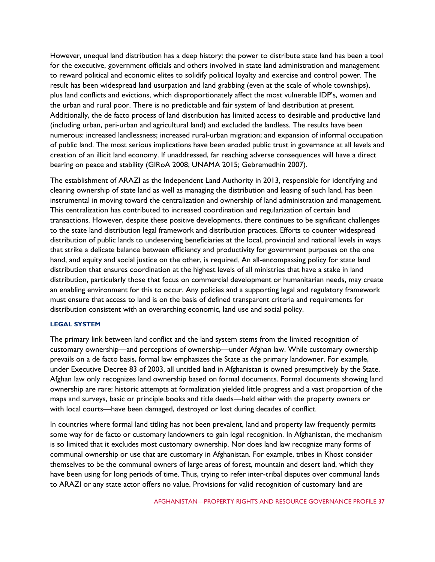However, unequal land distribution has a deep history: the power to distribute state land has been a tool for the executive, government officials and others involved in state land administration and management to reward political and economic elites to solidify political loyalty and exercise and control power. The result has been widespread land usurpation and land grabbing (even at the scale of whole townships), plus land conflicts and evictions, which disproportionately affect the most vulnerable IDP's, women and the urban and rural poor. There is no predictable and fair system of land distribution at present. Additionally, the de facto process of land distribution has limited access to desirable and productive land (including urban, peri-urban and agricultural land) and excluded the landless. The results have been numerous: increased landlessness; increased rural-urban migration; and expansion of informal occupation of public land. The most serious implications have been eroded public trust in governance at all levels and creation of an illicit land economy. If unaddressed, far reaching adverse consequences will have a direct bearing on peace and stability (GIRoA 2008; UNAMA 2015; Gebremedhin 2007).

The establishment of ARAZI as the Independent Land Authority in 2013, responsible for identifying and clearing ownership of state land as well as managing the distribution and leasing of such land, has been instrumental in moving toward the centralization and ownership of land administration and management. This centralization has contributed to increased coordination and regularization of certain land transactions. However, despite these positive developments, there continues to be significant challenges to the state land distribution legal framework and distribution practices. Efforts to counter widespread distribution of public lands to undeserving beneficiaries at the local, provincial and national levels in ways that strike a delicate balance between efficiency and productivity for government purposes on the one hand, and equity and social justice on the other, is required*.* An all-encompassing policy for state land distribution that ensures coordination at the highest levels of all ministries that have a stake in land distribution, particularly those that focus on commercial development or humanitarian needs, may create an enabling environment for this to occur. Any policies and a supporting legal and regulatory framework must ensure that access to land is on the basis of defined transparent criteria and requirements for distribution consistent with an overarching economic, land use and social policy.

#### **LEGAL SYSTEM**

The primary link between land conflict and the land system stems from the limited recognition of customary ownership—and perceptions of ownership—under Afghan law. While customary ownership prevails on a de facto basis, formal law emphasizes the State as the primary landowner. For example, under Executive Decree 83 of 2003, all untitled land in Afghanistan is owned presumptively by the State. Afghan law only recognizes land ownership based on formal documents. Formal documents showing land ownership are rare: historic attempts at formalization yielded little progress and a vast proportion of the maps and surveys, basic or principle books and title deeds—held either with the property owners or with local courts—have been damaged, destroyed or lost during decades of conflict.

In countries where formal land titling has not been prevalent, land and property law frequently permits some way for de facto or customary landowners to gain legal recognition. In Afghanistan, the mechanism is so limited that it excludes most customary ownership. Nor does land law recognize many forms of communal ownership or use that are customary in Afghanistan. For example, tribes in Khost consider themselves to be the communal owners of large areas of forest, mountain and desert land, which they have been using for long periods of time. Thus, trying to refer inter-tribal disputes over communal lands to ARAZI or any state actor offers no value. Provisions for valid recognition of customary land are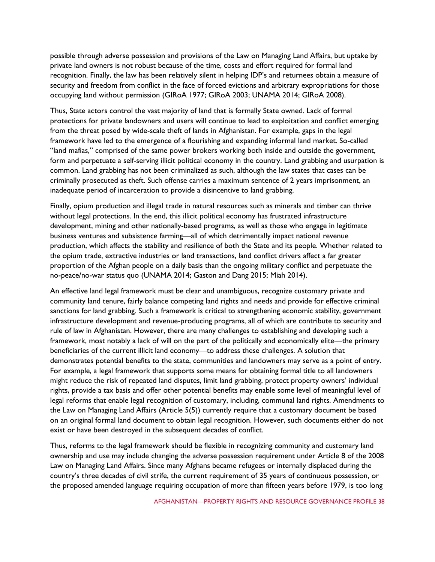possible through adverse possession and provisions of the Law on Managing Land Affairs, but uptake by private land owners is not robust because of the time, costs and effort required for formal land recognition. Finally, the law has been relatively silent in helping IDP's and returnees obtain a measure of security and freedom from conflict in the face of forced evictions and arbitrary expropriations for those occupying land without permission (GIRoA 1977; GIRoA 2003; UNAMA 2014; GIRoA 2008).

Thus, State actors control the vast majority of land that is formally State owned. Lack of formal protections for private landowners and users will continue to lead to exploitation and conflict emerging from the threat posed by wide-scale theft of lands in Afghanistan. For example, gaps in the legal framework have led to the emergence of a flourishing and expanding informal land market. So-called "land mafias," comprised of the same power brokers working both inside and outside the government, form and perpetuate a self-serving illicit political economy in the country. Land grabbing and usurpation is common. Land grabbing has not been criminalized as such, although the law states that cases can be criminally prosecuted as theft. Such offense carries a maximum sentence of 2 years imprisonment, an inadequate period of incarceration to provide a disincentive to land grabbing.

Finally, opium production and illegal trade in natural resources such as minerals and timber can thrive without legal protections. In the end, this illicit political economy has frustrated infrastructure development, mining and other nationally-based programs, as well as those who engage in legitimate business ventures and subsistence farming—all of which detrimentally impact national revenue production, which affects the stability and resilience of both the State and its people. Whether related to the opium trade, extractive industries or land transactions, land conflict drivers affect a far greater proportion of the Afghan people on a daily basis than the ongoing military conflict and perpetuate the no-peace/no-war status quo (UNAMA 2014; Gaston and Dang 2015; Miah 2014).

An effective land legal framework must be clear and unambiguous, recognize customary private and community land tenure, fairly balance competing land rights and needs and provide for effective criminal sanctions for land grabbing. Such a framework is critical to strengthening economic stability, government infrastructure development and revenue-producing programs, all of which are contribute to security and rule of law in Afghanistan. However, there are many challenges to establishing and developing such a framework, most notably a lack of will on the part of the politically and economically elite—the primary beneficiaries of the current illicit land economy—to address these challenges. A solution that demonstrates potential benefits to the state, communities and landowners may serve as a point of entry. For example, a legal framework that supports some means for obtaining formal title to all landowners might reduce the risk of repeated land disputes, limit land grabbing, protect property owners' individual rights, provide a tax basis and offer other potential benefits may enable some level of meaningful level of legal reforms that enable legal recognition of customary, including, communal land rights. Amendments to the Law on Managing Land Affairs (Article 5(5)) currently require that a customary document be based on an original formal land document to obtain legal recognition. However, such documents either do not exist or have been destroyed in the subsequent decades of conflict.

Thus, reforms to the legal framework should be flexible in recognizing community and customary land ownership and use may include changing the adverse possession requirement under Article 8 of the 2008 Law on Managing Land Affairs. Since many Afghans became refugees or internally displaced during the country's three decades of civil strife, the current requirement of 35 years of continuous possession, or the proposed amended language requiring occupation of more than fifteen years before 1979, is too long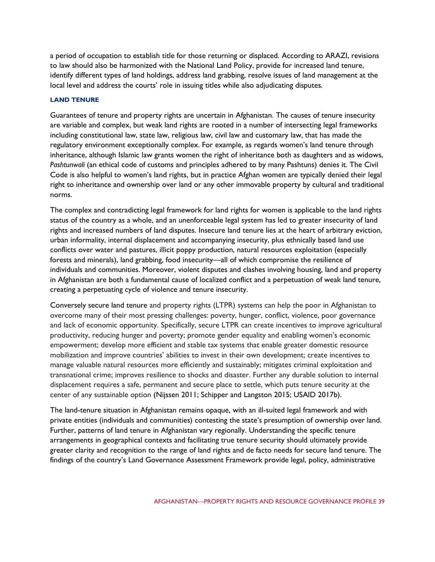a period of occupation to establish title for those returning or displaced*.* According to ARAZI, revisions to law should also be harmonized with the National Land Policy, provide for increased land tenure, identify different types of land holdings, address land grabbing, resolve issues of land management at the local level and address the courts' role in issuing titles while also adjudicating disputes*.*

## **LAND TENURE**

Guarantees of tenure and property rights are uncertain in Afghanistan. The causes of tenure insecurity are variable and complex, but weak land rights are rooted in a number of intersecting legal frameworks including constitutional law, state law, religious law, civil law and customary law, that has made the regulatory environment exceptionally complex. For example, as regards women's land tenure through inheritance, although Islamic law grants women the right of inheritance both as daughters and as widows, *Pashtunwali* (an ethical code of customs and principles adhered to by many Pashtuns) denies it. The Civil Code is also helpful to women's land rights, but in practice Afghan women are typically denied their legal right to inheritance and ownership over land or any other immovable property by cultural and traditional norms.

The complex and contradicting legal framework for land rights for women is applicable to the land rights status of the country as a whole, and an unenforceable legal system has led to greater insecurity of land rights and increased numbers of land disputes. Insecure land tenure lies at the heart of arbitrary eviction, urban informality, internal displacement and accompanying insecurity, plus ethnically based land use conflicts over water and pastures, illicit poppy production, natural resources exploitation (especially forests and minerals), land grabbing, food insecurity—all of which compromise the resilience of individuals and communities. Moreover, violent disputes and clashes involving housing, land and property in Afghanistan are both a fundamental cause of localized conflict and a perpetuation of weak land tenure, creating a perpetuating cycle of violence and tenure insecurity.

Conversely secure land tenure and property rights (LTPR) systems can help the poor in Afghanistan to overcome many of their most pressing challenges: poverty, hunger, conflict, violence, poor governance and lack of economic opportunity. Specifically, secure LTPR can create incentives to improve agricultural productivity, reducing hunger and poverty; promote gender equality and enabling women's economic empowerment; develop more efficient and stable tax systems that enable greater domestic resource mobilization and improve countries' abilities to invest in their own development; create incentives to manage valuable natural resources more efficiently and sustainably; mitigates criminal exploitation and transnational crime; improves resilience to shocks and disaster. Further any durable solution to internal displacement requires a safe, permanent and secure place to settle, which puts tenure security at the center of any sustainable option (Nijssen 2011; Schipper and Langston 2015; USAID 2017b).

The land-tenure situation in Afghanistan remains opaque, with an ill-suited legal framework and with private entities (individuals and communities) contesting the state's presumption of ownership over land. Further, patterns of land tenure in Afghanistan vary regionally. Understanding the specific tenure arrangements in geographical contexts and facilitating true tenure security should ultimately provide greater clarity and recognition to the range of land rights and de facto needs for secure land tenure. The findings of the country's Land Governance Assessment Framework provide legal, policy, administrative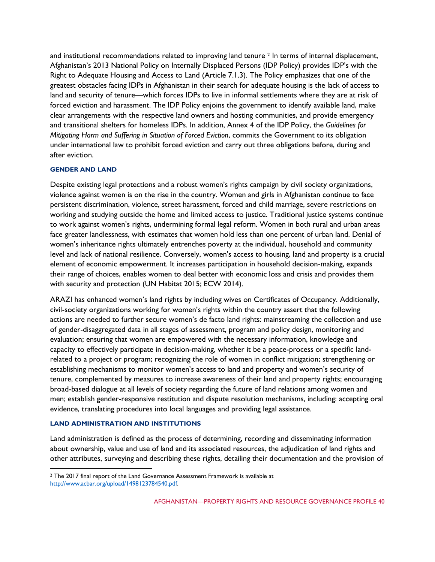and institutional recommendations related to improving land tenure <sup>2</sup> In terms of internal displacement, Afghanistan's 2013 National Policy on Internally Displaced Persons (IDP Policy) provides IDP's with the Right to Adequate Housing and Access to Land (Article 7.1.3)*.* The Policy emphasizes that one of the greatest obstacles facing IDPs in Afghanistan in their search for adequate housing is the lack of access to land and security of tenure—which forces IDPs to live in informal settlements where they are at risk of forced eviction and harassment. The IDP Policy enjoins the government to identify available land, make clear arrangements with the respective land owners and hosting communities, and provide emergency and transitional shelters for homeless IDPs. In addition, Annex 4 of the IDP Policy, the *Guidelines for Mitigating Harm and Suffering in Situation of Forced Eviction*, commits the Government to its obligation under international law to prohibit forced eviction and carry out three obligations before, during and after eviction.

## **GENDER AND LAND**

Despite existing legal protections and a robust women's rights campaign by civil society organizations, violence against women is on the rise in the country. Women and girls in Afghanistan continue to face persistent discrimination, violence, street harassment, forced and child marriage, severe restrictions on working and studying outside the home and limited access to justice. Traditional justice systems continue to work against women's rights, undermining formal legal reform. Women in both rural and urban areas face greater landlessness, with estimates that women hold less than one percent of urban land. Denial of women's inheritance rights ultimately entrenches poverty at the individual, household and community level and lack of national resilience. Conversely, women's access to housing, land and property is a crucial element of economic empowerment. It increases participation in household decision-making, expands their range of choices, enables women to deal better with economic loss and crisis and provides them with security and protection (UN Habitat 2015; ECW 2014).

ARAZI has enhanced women's land rights by including wives on Certificates of Occupancy. Additionally, civil-society organizations working for women's rights within the country assert that the following actions are needed to further secure women's de facto land rights: mainstreaming the collection and use of gender-disaggregated data in all stages of assessment, program and policy design, monitoring and evaluation; ensuring that women are empowered with the necessary information, knowledge and capacity to effectively participate in decision-making, whether it be a peace-process or a specific landrelated to a project or program; recognizing the role of women in conflict mitigation; strengthening or establishing mechanisms to monitor women's access to land and property and women's security of tenure, complemented by measures to increase awareness of their land and property rights; encouraging broad-based dialogue at all levels of society regarding the future of land relations among women and men; establish gender-responsive restitution and dispute resolution mechanisms, including: accepting oral evidence, translating procedures into local languages and providing legal assistance.

#### **LAND ADMINISTRATION AND INSTITUTIONS**

Land administration is defined as the process of determining, recording and disseminating information about ownership, value and use of land and its associated resources, the adjudication of land rights and other attributes, surveying and describing these rights, detailing their documentation and the provision of

<sup>2</sup> The 2017 final report of the Land Governance Assessment Framework is available at [http://www.acbar.org/upload/1498123784540.pdf.](http://www.acbar.org/upload/1498123784540.pdf)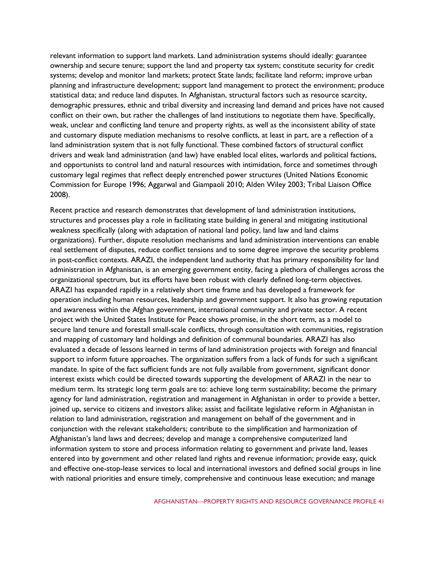relevant information to support land markets. Land administration systems should ideally: guarantee ownership and secure tenure; support the land and property tax system; constitute security for credit systems; develop and monitor land markets; protect State lands; facilitate land reform; improve urban planning and infrastructure development; support land management to protect the environment; produce statistical data; and reduce land disputes. In Afghanistan, structural factors such as resource scarcity, demographic pressures, ethnic and tribal diversity and increasing land demand and prices have not caused conflict on their own, but rather the challenges of land institutions to negotiate them have. Specifically, weak, unclear and conflicting land tenure and property rights, as well as the inconsistent ability of state and customary dispute mediation mechanisms to resolve conflicts, at least in part, are a reflection of a land administration system that is not fully functional. These combined factors of structural conflict drivers and weak land administration (and law) have enabled local elites, warlords and political factions, and opportunists to control land and natural resources with intimidation, force and sometimes through customary legal regimes that reflect deeply entrenched power structures (United Nations Economic Commission for Europe 1996; Aggarwal and Giampaoli 2010; Alden Wiley 2003; Tribal Liaison Office 2008).

Recent practice and research demonstrates that development of land administration institutions, structures and processes play a role in facilitating state building in general and mitigating institutional weakness specifically (along with adaptation of national land policy, land law and land claims organizations). Further, dispute resolution mechanisms and land administration interventions can enable real settlement of disputes, reduce conflict tensions and to some degree improve the security problems in post-conflict contexts. ARAZI, the independent land authority that has primary responsibility for land administration in Afghanistan, is an emerging government entity, facing a plethora of challenges across the organizational spectrum, but its efforts have been robust with clearly defined long-term objectives. ARAZI has expanded rapidly in a relatively short time frame and has developed a framework for operation including human resources, leadership and government support. It also has growing reputation and awareness within the Afghan government, international community and private sector. A recent project with the United States Institute for Peace shows promise, in the short term, as a model to secure land tenure and forestall small-scale conflicts, through consultation with communities, registration and mapping of customary land holdings and definition of communal boundaries. ARAZI has also evaluated a decade of lessons learned in terms of land administration projects with foreign and financial support to inform future approaches. The organization suffers from a lack of funds for such a significant mandate. In spite of the fact sufficient funds are not fully available from government, significant donor interest exists which could be directed towards supporting the development of ARAZI in the near to medium term. Its strategic long term goals are to: achieve long term sustainability; become the primary agency for land administration, registration and management in Afghanistan in order to provide a better, joined up, service to citizens and investors alike; assist and facilitate legislative reform in Afghanistan in relation to land administration, registration and management on behalf of the government and in conjunction with the relevant stakeholders; contribute to the simplification and harmonization of Afghanistan's land laws and decrees; develop and manage a comprehensive computerized land information system to store and process information relating to government and private land, leases entered into by government and other related land rights and revenue information; provide easy, quick and effective one-stop-lease services to local and international investors and defined social groups in line with national priorities and ensure timely, comprehensive and continuous lease execution; and manage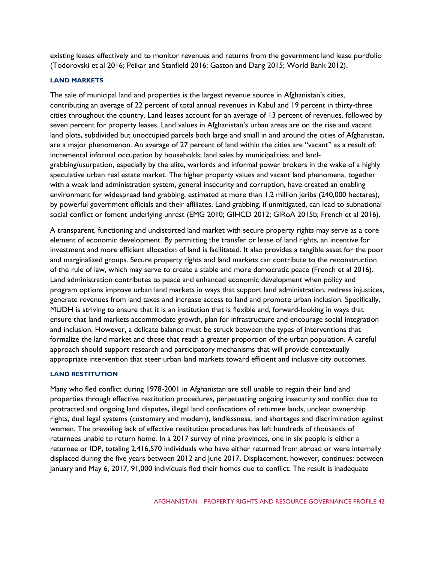existing leases effectively and to monitor revenues and returns from the government land lease portfolio (Todorovski et al 2016; Peikar and Stanfield 2016; Gaston and Dang 2015; World Bank 2012).

## **LAND MARKETS**

The sale of municipal land and properties is the largest revenue source in Afghanistan's cities, contributing an average of 22 percent of total annual revenues in Kabul and 19 percent in thirty-three cities throughout the country. Land leases account for an average of 13 percent of revenues, followed by seven percent for property leases. Land values in Afghanistan's urban areas are on the rise and vacant land plots, subdivided but unoccupied parcels both large and small in and around the cities of Afghanistan, are a major phenomenon. An average of 27 percent of land within the cities are "vacant" as a result of: incremental informal occupation by households; land sales by municipalities; and landgrabbing/usurpation, especially by the elite, warlords and informal power brokers in the wake of a highly speculative urban real estate market. The higher property values and vacant land phenomena, together with a weak land administration system, general insecurity and corruption, have created an enabling environment for widespread land grabbing, estimated at more than 1.2 million jeribs (240,000 hectares), by powerful government officials and their affiliates. Land grabbing, if unmitigated, can lead to subnational social conflict or foment underlying unrest (EMG 2010; GIHCD 2012; GIRoA 2015b; French et al 2016).

A transparent, functioning and undistorted land market with secure property rights may serve as a core element of economic development. By permitting the transfer or lease of land rights, an incentive for investment and more efficient allocation of land is facilitated. It also provides a tangible asset for the poor and marginalized groups. Secure property rights and land markets can contribute to the reconstruction of the rule of law, which may serve to create a stable and more democratic peace (French et al 2016)*.* Land administration contributes to peace and enhanced economic development when policy and program options improve urban land markets in ways that support land administration, redress injustices, generate revenues from land taxes and increase access to land and promote urban inclusion. Specifically, MUDH is striving to ensure that it is an institution that is flexible and, forward-looking in ways that ensure that land markets accommodate growth, plan for infrastructure and encourage social integration and inclusion. However, a delicate balance must be struck between the types of interventions that formalize the land market and those that reach a greater proportion of the urban population. A careful approach should support research and participatory mechanisms that will provide contextually appropriate intervention that steer urban land markets toward efficient and inclusive city outcomes.

# **LAND RESTITUTION**

Many who fled conflict during 1978-2001 in Afghanistan are still unable to regain their land and properties through effective restitution procedures, perpetuating ongoing insecurity and conflict due to protracted and ongoing land disputes, illegal land confiscations of returnee lands, unclear ownership rights, dual legal systems (customary and modern), landlessness, land shortages and discrimination against women. The prevailing lack of effective restitution procedures has left hundreds of thousands of returnees unable to return home. In a 2017 survey of nine provinces, one in six people is either a returnee or IDP, totaling 2,416,570 individuals who have either returned from abroad or were internally displaced during the five years between 2012 and June 2017. Displacement, however, continues: between January and May 6, 2017, 91,000 individuals fled their homes due to conflict. The result is inadequate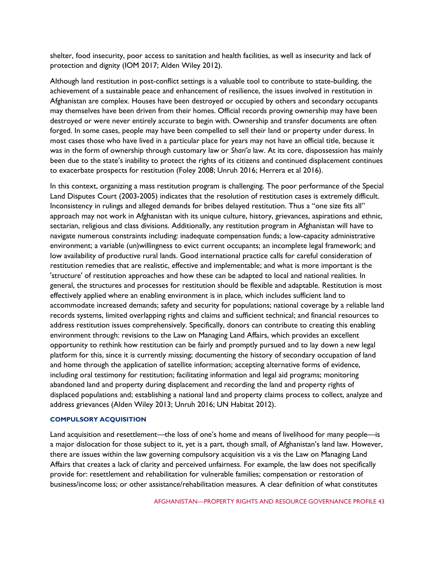shelter, food insecurity, poor access to sanitation and health facilities, as well as insecurity and lack of protection and dignity (IOM 2017; Alden Wiley 2012).

Although land restitution in post-conflict settings is a valuable tool to contribute to state-building, the achievement of a sustainable peace and enhancement of resilience, the issues involved in restitution in Afghanistan are complex. Houses have been destroyed or occupied by others and secondary occupants may themselves have been driven from their homes. Official records proving ownership may have been destroyed or were never entirely accurate to begin with. Ownership and transfer documents are often forged. In some cases, people may have been compelled to sell their land or property under duress. In most cases those who have lived in a particular place for years may not have an official title, because it was in the form of ownership through customary law or *Shari'a* law. At its core, dispossession has mainly been due to the state's inability to protect the rights of its citizens and continued displacement continues to exacerbate prospects for restitution (Foley 2008; Unruh 2016; Herrera et al 2016).

In this context, organizing a mass restitution program is challenging. The poor performance of the Special Land Disputes Court (2003-2005) indicates that the resolution of restitution cases is extremely difficult. Inconsistency in rulings and alleged demands for bribes delayed restitution. Thus a "one size fits all" approach may not work in Afghanistan with its unique culture, history, grievances, aspirations and ethnic, sectarian, religious and class divisions. Additionally, any restitution program in Afghanistan will have to navigate numerous constraints including: inadequate compensation funds; a low-capacity administrative environment; a variable (un)willingness to evict current occupants; an incomplete legal framework; and low availability of productive rural lands. Good international practice calls for careful consideration of restitution remedies that are realistic, effective and implementable; and what is more important is the 'structure' of restitution approaches and how these can be adapted to local and national realities*.* In general, the structures and processes for restitution should be flexible and adaptable. Restitution is most effectively applied where an enabling environment is in place, which includes sufficient land to accommodate increased demands; safety and security for populations; national coverage by a reliable land records systems, limited overlapping rights and claims and sufficient technical; and financial resources to address restitution issues comprehensively. Specifically, donors can contribute to creating this enabling environment through: revisions to the Law on Managing Land Affairs, which provides an excellent opportunity to rethink how restitution can be fairly and promptly pursued and to lay down a new legal platform for this, since it is currently missing; documenting the history of secondary occupation of land and home through the application of satellite information; accepting alternative forms of evidence, including oral testimony for restitution; facilitating information and legal aid programs; monitoring abandoned land and property during displacement and recording the land and property rights of displaced populations and; establishing a national land and property claims process to collect, analyze and address grievances (Alden Wiley 2013; Unruh 2016; UN Habitat 2012).

#### **COMPULSORY ACQUISITION**

Land acquisition and resettlement—the loss of one's home and means of livelihood for many people—is a major dislocation for those subject to it, yet is a part, though small, of Afghanistan's land law. However, there are issues within the law governing compulsory acquisition vis a vis the Law on Managing Land Affairs that creates a lack of clarity and perceived unfairness. For example, the law does not specifically provide for: resettlement and rehabilitation for vulnerable families; compensation or restoration of business/income loss; or other assistance/rehabilitation measures. A clear definition of what constitutes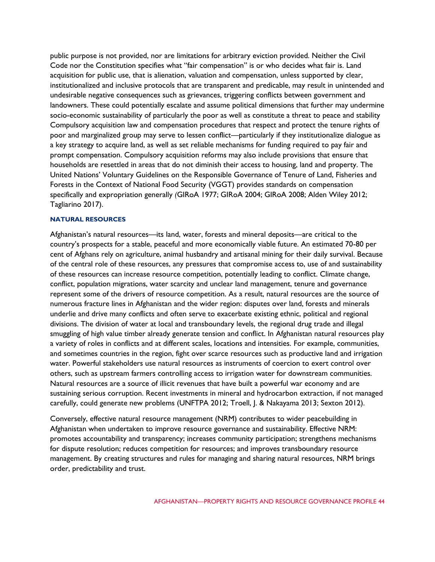public purpose is not provided, nor are limitations for arbitrary eviction provided. Neither the Civil Code nor the Constitution specifies what "fair compensation" is or who decides what fair is. Land acquisition for public use, that is alienation, valuation and compensation, unless supported by clear, institutionalized and inclusive protocols that are transparent and predicable, may result in unintended and undesirable negative consequences such as grievances, triggering conflicts between government and landowners. These could potentially escalate and assume political dimensions that further may undermine socio-economic sustainability of particularly the poor as well as constitute a threat to peace and stability Compulsory acquisition law and compensation procedures that respect and protect the tenure rights of poor and marginalized group may serve to lessen conflict—particularly if they institutionalize dialogue as a key strategy to acquire land, as well as set reliable mechanisms for funding required to pay fair and prompt compensation. Compulsory acquisition reforms may also include provisions that ensure that households are resettled in areas that do not diminish their access to housing, land and property. The United Nations' Voluntary Guidelines on the Responsible Governance of Tenure of Land, Fisheries and Forests in the Context of National Food Security (VGGT) provides standards on compensation specifically and expropriation generally *(*GIRoA 1977; GIRoA 2004; GIRoA 2008; Alden Wiley 2012; Tagliarino 2017).

## **NATURAL RESOURCES**

Afghanistan's natural resources—its land, water, forests and mineral deposits—are critical to the country's prospects for a stable, peaceful and more economically viable future. An estimated 70-80 per cent of Afghans rely on agriculture, animal husbandry and artisanal mining for their daily survival. Because of the central role of these resources, any pressures that compromise access to, use of and sustainability of these resources can increase resource competition, potentially leading to conflict. Climate change, conflict, population migrations, water scarcity and unclear land management, tenure and governance represent some of the drivers of resource competition. As a result, natural resources are the source of numerous fracture lines in Afghanistan and the wider region: disputes over land, forests and minerals underlie and drive many conflicts and often serve to exacerbate existing ethnic, political and regional divisions. The division of water at local and transboundary levels, the regional drug trade and illegal smuggling of high value timber already generate tension and conflict. In Afghanistan natural resources play a variety of roles in conflicts and at different scales, locations and intensities. For example, communities, and sometimes countries in the region, fight over scarce resources such as productive land and irrigation water. Powerful stakeholders use natural resources as instruments of coercion to exert control over others, such as upstream farmers controlling access to irrigation water for downstream communities. Natural resources are a source of illicit revenues that have built a powerful war economy and are sustaining serious corruption. Recent investments in mineral and hydrocarbon extraction, if not managed carefully, could generate new problems (UNFTPA 2012; Troell, J. & Nakayama 2013; Sexton 2012).

Conversely, effective natural resource management (NRM) contributes to wider peacebuilding in Afghanistan when undertaken to improve resource governance and sustainability. Effective NRM: promotes accountability and transparency; increases community participation; strengthens mechanisms for dispute resolution; reduces competition for resources; and improves transboundary resource management. By creating structures and rules for managing and sharing natural resources, NRM brings order, predictability and trust.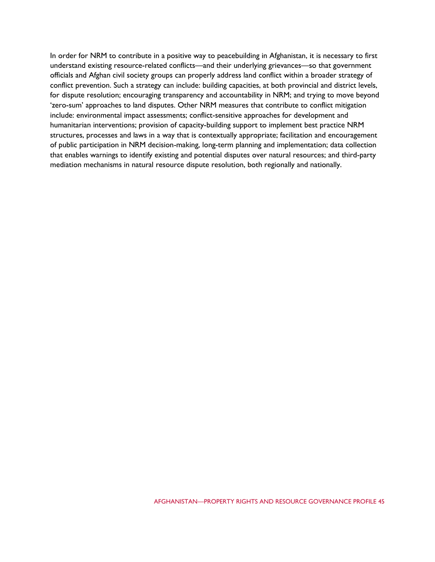In order for NRM to contribute in a positive way to peacebuilding in Afghanistan, it is necessary to first understand existing resource-related conflicts—and their underlying grievances—so that government officials and Afghan civil society groups can properly address land conflict within a broader strategy of conflict prevention. Such a strategy can include: building capacities, at both provincial and district levels, for dispute resolution; encouraging transparency and accountability in NRM; and trying to move beyond 'zero-sum' approaches to land disputes. Other NRM measures that contribute to conflict mitigation include: environmental impact assessments; conflict-sensitive approaches for development and humanitarian interventions; provision of capacity-building support to implement best practice NRM structures, processes and laws in a way that is contextually appropriate; facilitation and encouragement of public participation in NRM decision-making, long-term planning and implementation; data collection that enables warnings to identify existing and potential disputes over natural resources; and third-party mediation mechanisms in natural resource dispute resolution, both regionally and nationally.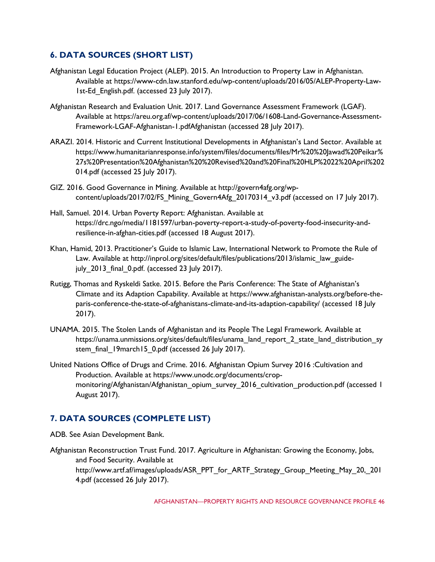# **6. DATA SOURCES (SHORT LIST)**

- Afghanistan Legal Education Project (ALEP). 2015. An Introduction to Property Law in Afghanistan. Available at https://www-cdn.law.stanford.edu/wp-content/uploads/2016/05/ALEP-Property-Law-1st-Ed\_English.pdf. (accessed 23 July 2017).
- Afghanistan Research and Evaluation Unit. 2017. Land Governance Assessment Framework (LGAF). Available at https://areu.org.af/wp-content/uploads/2017/06/1608-Land-Governance-Assessment-Framework-LGAF-Afghanistan-1.pdfAfghanistan (accessed 28 July 2017).
- ARAZI. 2014. Historic and Current Institutional Developments in Afghanistan's Land Sector. Available at https://www.humanitarianresponse.info/system/files/documents/files/Mr%20%20Jawad%20Peikar% 27s%20Presentation%20Afghanistan%20%20Revised%20and%20Final%20HLP%2022%20April%202 014.pdf (accessed 25 July 2017).
- GIZ. 2016. Good Governance in Mining. Available at http://govern4afg.org/wpcontent/uploads/2017/02/FS\_Mining\_Govern4Afg\_20170314\_v3.pdf (accessed on 17 July 2017).
- Hall, Samuel. 2014. Urban Poverty Report: Afghanistan. Available at https://drc.ngo/media/1181597/urban-poverty-report-a-study-of-poverty-food-insecurity-andresilience-in-afghan-cities.pdf (accessed 18 August 2017).
- Khan, Hamid, 2013. Practitioner's Guide to Islamic Law, International Network to Promote the Rule of Law. Available at http://inprol.org/sites/default/files/publications/2013/islamic\_law\_guidejuly 2013 final 0.pdf. (accessed 23 July 2017).
- Rutigg, Thomas and Ryskeldi Satke. 2015. Before the Paris Conference: The State of Afghanistan's Climate and its Adaption Capability. Available at https://www.afghanistan-analysts.org/before-theparis-conference-the-state-of-afghanistans-climate-and-its-adaption-capability/ (accessed 18 July 2017).
- UNAMA. 2015. The Stolen Lands of Afghanistan and its People The Legal Framework. Available at https://unama.unmissions.org/sites/default/files/unama\_land\_report\_2\_state\_land\_distribution\_sy stem\_final\_19march15\_0.pdf (accessed 26 July 2017).
- United Nations Office of Drugs and Crime. 2016. Afghanistan Opium Survey 2016 :Cultivation and Production. Available at https://www.unodc.org/documents/cropmonitoring/Afghanistan/Afghanistan\_opium\_survey\_2016\_cultivation\_production.pdf (accessed 1 August 2017).

# **7. DATA SOURCES (COMPLETE LIST)**

ADB. See Asian Development Bank.

Afghanistan Reconstruction Trust Fund. 2017. Agriculture in Afghanistan: Growing the Economy, Jobs, and Food Security. Available at http://www.artf.af/images/uploads/ASR\_PPT\_for\_ARTF\_Strategy\_Group\_Meeting\_May\_20,\_201 4.pdf (accessed 26 July 2017).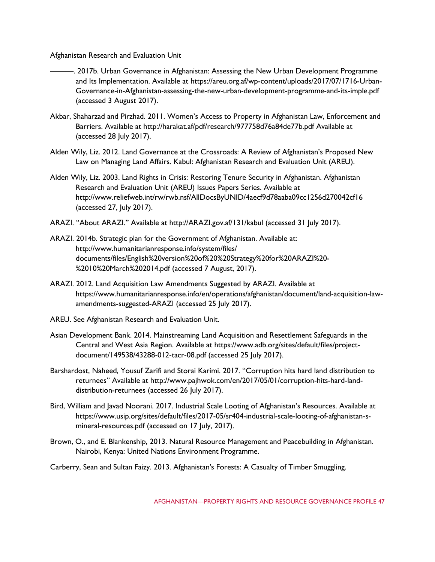Afghanistan Research and Evaluation Unit

- ———. 2017b. Urban Governance in Afghanistan: Assessing the New Urban Development Programme and Its Implementation. Available at https://areu.org.af/wp-content/uploads/2017/07/1716-Urban-Governance-in-Afghanistan-assessing-the-new-urban-development-programme-and-its-imple.pdf (accessed 3 August 2017).
- Akbar, Shaharzad and Pirzhad. 2011. Women's Access to Property in Afghanistan Law, Enforcement and Barriers. Available at http://harakat.af/pdf/research/977758d76a84de77b.pdf Available at (accessed 28 July 2017).
- Alden Wily, Liz. 2012. Land Governance at the Crossroads: A Review of Afghanistan's Proposed New Law on Managing Land Affairs. Kabul: Afghanistan Research and Evaluation Unit (AREU).
- Alden Wily, Liz. 2003. Land Rights in Crisis: Restoring Tenure Security in Afghanistan. Afghanistan Research and Evaluation Unit (AREU) Issues Papers Series. Available at http://www.reliefweb.int/rw/rwb.nsf/AllDocsByUNID/4aecf9d78aaba09cc1256d270042cf16 (accessed 27, July 2017).
- ARAZI. "About ARAZI." Available at http://ARAZI.gov.af/131/kabul (accessed 31 July 2017).
- ARAZI. 2014b. Strategic plan for the Government of Afghanistan. Available at: http://www.humanitarianresponse.info/system/files/ documents/files/English%20version%20of%20%20Strategy%20for%20ARAZI%20- %2010%20March%202014.pdf (accessed 7 August, 2017).
- ARAZI. 2012. Land Acquisition Law Amendments Suggested by ARAZI. Available at https://www.humanitarianresponse.info/en/operations/afghanistan/document/land-acquisition-lawamendments-suggested-ARAZI (accessed 25 July 2017).
- AREU. See Afghanistan Research and Evaluation Unit.
- Asian Development Bank. 2014. Mainstreaming Land Acquisition and Resettlement Safeguards in the Central and West Asia Region. Available at https://www.adb.org/sites/default/files/projectdocument/149538/43288-012-tacr-08.pdf (accessed 25 July 2017).
- Barshardost, Naheed, Yousuf Zarifi and Storai Karimi. 2017. "Corruption hits hard land distribution to returnees" Available at http://www.pajhwok.com/en/2017/05/01/corruption-hits-hard-landdistribution-returnees (accessed 26 July 2017).
- Bird, William and Javad Noorani. 2017. Industrial Scale Looting of Afghanistan's Resources. Available at https://www.usip.org/sites/default/files/2017-05/sr404-industrial-scale-looting-of-afghanistan-smineral-resources.pdf (accessed on 17 July, 2017).
- Brown, O., and E. Blankenship, 2013. Natural Resource Management and Peacebuilding in Afghanistan. Nairobi, Kenya: United Nations Environment Programme.
- Carberry, Sean and Sultan Faizy. 2013. Afghanistan's Forests: A Casualty of Timber Smuggling.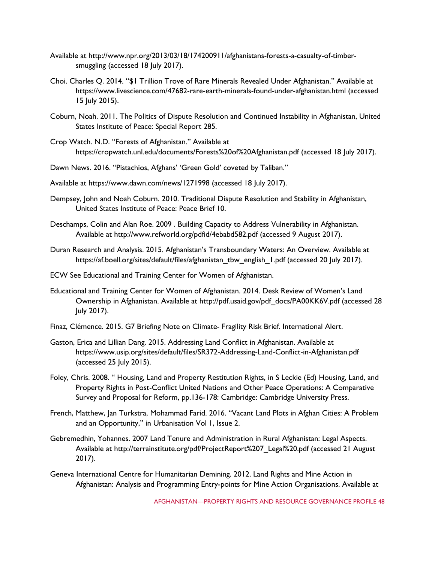- Available at http://www.npr.org/2013/03/18/174200911/afghanistans-forests-a-casualty-of-timbersmuggling (accessed 18 July 2017).
- Choi. Charles Q. 2014. "\$1 Trillion Trove of Rare Minerals Revealed Under Afghanistan." Available at https://www.livescience.com/47682-rare-earth-minerals-found-under-afghanistan.html (accessed 15 July 2015).
- Coburn, Noah. 2011. The Politics of Dispute Resolution and Continued Instability in Afghanistan, United States Institute of Peace: Special Report 285.
- Crop Watch. N.D. "Forests of Afghanistan." Available at https://cropwatch.unl.edu/documents/Forests%20of%20Afghanistan.pdf (accessed 18 July 2017).
- Dawn News. 2016. "Pistachios, Afghans' 'Green Gold' coveted by Taliban."
- Available at https://www.dawn.com/news/1271998 (accessed 18 July 2017).
- Dempsey, John and Noah Coburn. 2010. Traditional Dispute Resolution and Stability in Afghanistan, United States Institute of Peace: Peace Brief 10.
- Deschamps, Colin and Alan Roe. 2009 . Building Capacity to Address Vulnerability in Afghanistan. Available at http://www.refworld.org/pdfid/4ebabd582.pdf (accessed 9 August 2017).
- Duran Research and Analysis. 2015. Afghanistan's Transboundary Waters: An Overview. Available at https://af.boell.org/sites/default/files/afghanistan\_tbw\_english\_1.pdf (accessed 20 July 2017).
- ECW See Educational and Training Center for Women of Afghanistan.
- Educational and Training Center for Women of Afghanistan. 2014. Desk Review of Women's Land Ownership in Afghanistan. Available at http://pdf.usaid.gov/pdf\_docs/PA00KK6V.pdf (accessed 28 July 2017).
- Finaz, Clémence. 2015. G7 Briefing Note on Climate- Fragility Risk Brief. International Alert.
- Gaston, Erica and Lillian Dang. 2015. Addressing Land Conflict in Afghanistan. Available at https://www.usip.org/sites/default/files/SR372-Addressing-Land-Conflict-in-Afghanistan.pdf (accessed 25 July 2015).
- Foley, Chris. 2008. " Housing, Land and Property Restitution Rights, in S Leckie (Ed) Housing, Land, and Property Rights in Post-Conflict United Nations and Other Peace Operations: A Comparative Survey and Proposal for Reform, pp.136-178: Cambridge: Cambridge University Press.
- French, Matthew, Jan Turkstra, Mohammad Farid. 2016. "Vacant Land Plots in Afghan Cities: A Problem and an Opportunity," in Urbanisation Vol 1, Issue 2.
- Gebremedhin, Yohannes. 2007 Land Tenure and Administration in Rural Afghanistan: Legal Aspects. Available at http://terrainstitute.org/pdf/ProjectReport%207\_Legal%20.pdf (accessed 21 August 2017).
- Geneva International Centre for Humanitarian Demining. 2012. Land Rights and Mine Action in Afghanistan: Analysis and Programming Entry-points for Mine Action Organisations. Available at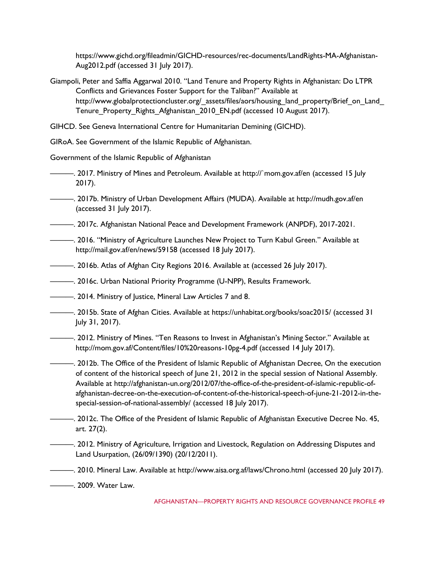https://www.gichd.org/fileadmin/GICHD-resources/rec-documents/LandRights-MA-Afghanistan-Aug2012.pdf (accessed 31 July 2017).

- Giampoli, Peter and Saffia Aggarwal 2010. "Land Tenure and Property Rights in Afghanistan: Do LTPR Conflicts and Grievances Foster Support for the Taliban?" Available at http://www.globalprotectioncluster.org/\_assets/files/aors/housing\_land\_property/Brief\_on\_Land Tenure Property Rights Afghanistan 2010 EN.pdf (accessed 10 August 2017).
- GIHCD. See Geneva International Centre for Humanitarian Demining (GICHD).

GIRoA. See Government of the Islamic Republic of Afghanistan.

Government of the Islamic Republic of Afghanistan

- ———. 2017. Ministry of Mines and Petroleum. Available at http://`mom.gov.af/en (accessed 15 July 2017).
- ———. 2017b. Ministry of Urban Development Affairs (MUDA). Available at http://mudh.gov.af/en (accessed 31 July 2017).
- ———. 2017c. Afghanistan National Peace and Development Framework (ANPDF), 2017-2021.
- ———. 2016. "Ministry of Agriculture Launches New Project to Turn Kabul Green." Available at http://mail.gov.af/en/news/59158 (accessed 18 July 2017).
- ———. 2016b. Atlas of Afghan City Regions 2016. Available at (accessed 26 July 2017).
- ———. 2016c. Urban National Priority Programme (U-NPP), Results Framework.
- ———. 2014. Ministry of Justice, Mineral Law Articles 7 and 8.
- ———. 2015b. State of Afghan Cities. Available at https://unhabitat.org/books/soac2015/ (accessed 31 July 31, 2017).
- ———. 2012. Ministry of Mines. "Ten Reasons to Invest in Afghanistan's Mining Sector." Available at http://mom.gov.af/Content/files/10%20reasons-10pg-4.pdf (accessed 14 July 2017).
- ———. 2012b. The Office of the President of Islamic Republic of Afghanistan Decree, On the execution of content of the historical speech of June 21, 2012 in the special session of National Assembly. Available at http://afghanistan-un.org/2012/07/the-office-of-the-president-of-islamic-republic-ofafghanistan-decree-on-the-execution-of-content-of-the-historical-speech-of-june-21-2012-in-thespecial-session-of-national-assembly/ (accessed 18 July 2017).
- <sup>2</sup> 2012c. The Office of the President of Islamic Republic of Afghanistan Executive Decree No. 45, art. 27(2).
- ———. 2012. Ministry of Agriculture, Irrigation and Livestock, Regulation on Addressing Disputes and Land Usurpation, (26/09/1390) (20/12/2011).
- ———. 2010. Mineral Law. Available at http://www.aisa.org.af/laws/Chrono.html (accessed 20 July 2017).
- ———. 2009. Water Law.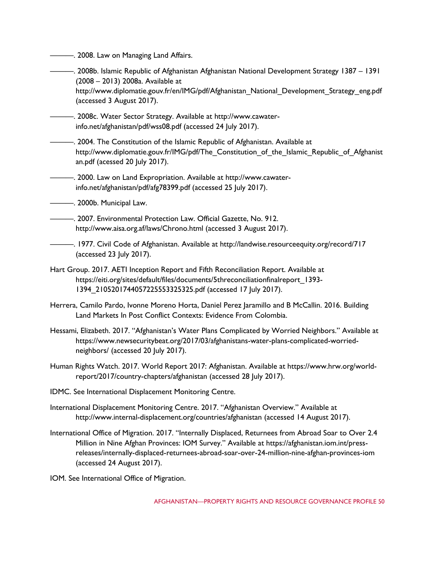———. 2008. Law on Managing Land Affairs.

- ———. 2008b. Islamic Republic of Afghanistan Afghanistan National Development Strategy 1387 1391 (2008 – 2013) 2008a. Available at http://www.diplomatie.gouv.fr/en/IMG/pdf/Afghanistan\_National\_Development\_Strategy\_eng.pdf (accessed 3 August 2017).
- ———. 2008c. Water Sector Strategy. Available at http://www.cawaterinfo.net/afghanistan/pdf/wss08.pdf (accessed 24 July 2017).
- ———. 2004. The Constitution of the Islamic Republic of Afghanistan. Available at http://www.diplomatie.gouv.fr/IMG/pdf/The Constitution of the Islamic Republic of Afghanist an.pdf (acessed 20 July 2017).
- ———. 2000. Law on Land Expropriation. Available at http://www.cawaterinfo.net/afghanistan/pdf/afg78399.pdf (accessed 25 July 2017).
- ———. 2000b. Municipal Law.
- ———. 2007. Environmental Protection Law. Official Gazette, No. 912. http://www.aisa.org.af/laws/Chrono.html (accessed 3 August 2017).
- ———. 1977. Civil Code of Afghanistan. Available at http://landwise.resourceequity.org/record/717 (accessed 23 July 2017).
- Hart Group. 2017. AETI Inception Report and Fifth Reconciliation Report. Available at https://eiti.org/sites/default/files/documents/5threconciliationfinalreport\_1393- 1394\_2105201744057225553325325.pdf (accessed 17 July 2017).
- Herrera, Camilo Pardo, Ivonne Moreno Horta, Daniel Perez Jaramillo and B McCallin. 2016. Building Land Markets In Post Conflict Contexts: Evidence From Colombia.
- Hessami, Elizabeth. 2017. "Afghanistan's Water Plans Complicated by Worried Neighbors." Available at https://www.newsecuritybeat.org/2017/03/afghanistans-water-plans-complicated-worriedneighbors/ (accessed 20 July 2017).
- Human Rights Watch. 2017. World Report 2017: Afghanistan. Available at https://www.hrw.org/worldreport/2017/country-chapters/afghanistan (accessed 28 July 2017).
- IDMC. See International Displacement Monitoring Centre.
- International Displacement Monitoring Centre. 2017. "Afghanistan Overview." Available at http://www.internal-displacement.org/countries/afghanistan (accessed 14 August 2017).
- International Office of Migration. 2017. "Internally Displaced, Returnees from Abroad Soar to Over 2.4 Million in Nine Afghan Provinces: IOM Survey." Available at https://afghanistan.iom.int/pressreleases/internally-displaced-returnees-abroad-soar-over-24-million-nine-afghan-provinces-iom (accessed 24 August 2017).
- IOM. See International Office of Migration.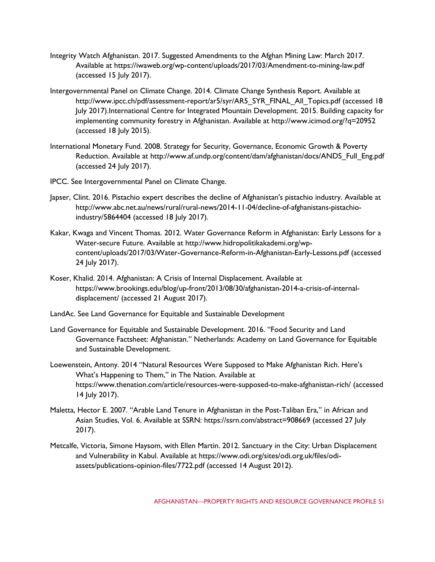- Integrity Watch Afghanistan. 2017. Suggested Amendments to the Afghan Mining Law: March 2017. Available at https://iwaweb.org/wp-content/uploads/2017/03/Amendment-to-mining-law.pdf (accessed 15 July 2017).
- Intergovernmental Panel on Climate Change. 2014. Climate Change Synthesis Report. Available at http://www.ipcc.ch/pdf/assessment-report/ar5/syr/AR5\_SYR\_FINAL\_All\_Topics.pdf (accessed 18 July 2017).International Centre for Integrated Mountain Development. 2015. Building capacity for implementing community forestry in Afghanistan. Available at http://www.icimod.org/?q=20952 (accessed 18 July 2015).
- International Monetary Fund. 2008. Strategy for Security, Governance, Economic Growth & Poverty Reduction. Available at http://www.af.undp.org/content/dam/afghanistan/docs/ANDS\_Full\_Eng.pdf (accessed 24 July 2017).
- IPCC. See Intergovernmental Panel on Climate Change.
- Japser, Clint. 2016. Pistachio expert describes the decline of Afghanistan's pistachio industry. Available at http://www.abc.net.au/news/rural/rural-news/2014-11-04/decline-of-afghanistans-pistachioindustry/5864404 (accessed 18 July 2017).
- Kakar, Kwaga and Vincent Thomas. 2012. Water Governance Reform in Afghanistan: Early Lessons for a Water-secure Future. Available at http://www.hidropolitikakademi.org/wpcontent/uploads/2017/03/Water-Governance-Reform-in-Afghanistan-Early-Lessons.pdf (accessed 24 July 2017).
- Koser, Khalid. 2014. Afghanistan: A Crisis of Internal Displacement. Available at https://www.brookings.edu/blog/up-front/2013/08/30/afghanistan-2014-a-crisis-of-internaldisplacement/ (accessed 21 August 2017).
- LandAc. See Land Governance for Equitable and Sustainable Development
- Land Governance for Equitable and Sustainable Development. 2016. "Food Security and Land Governance Factsheet: Afghanistan." Netherlands: Academy on Land Governance for Equitable and Sustainable Development.
- Loewenstein, Antony. 2014 "Natural Resources Were Supposed to Make Afghanistan Rich. Here's What's Happening to Them," in The Nation. Available at https://www.thenation.com/article/resources-were-supposed-to-make-afghanistan-rich/ (accessed 14 July 2017).
- Maletta, Hector E. 2007. "Arable Land Tenure in Afghanistan in the Post-Taliban Era," in African and Asian Studies, Vol. 6. Available at SSRN: https://ssrn.com/abstract=908669 (accessed 27 July 2017).
- Metcalfe, Victoria, Simone Haysom, with Ellen Martin. 2012. Sanctuary in the City: Urban Displacement and Vulnerability in Kabul. Available at https://www.odi.org/sites/odi.org.uk/files/odiassets/publications-opinion-files/7722.pdf (accessed 14 August 2012).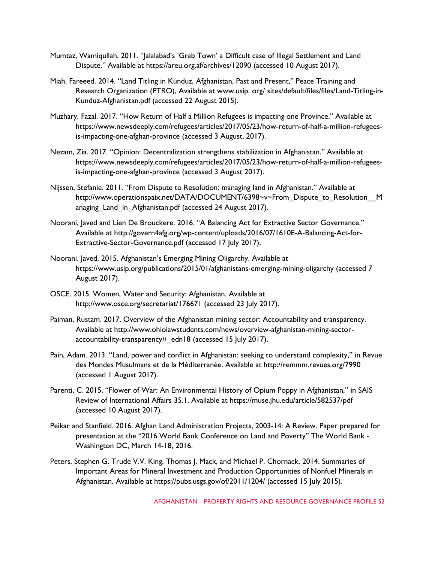- Mumtaz, Wamiqullah. 2011. "Jalalabad's 'Grab Town' a Difficult case of Illegal Settlement and Land Dispute." Available at https://areu.org.af/archives/12090 (accessed 10 August 2017).
- Miah, Fareeed. 2014. "Land Titling in Kunduz, Afghanistan, Past and Present," Peace Training and Research Organization (PTRO), Available at www.usip. org/ sites/default/files/files/Land-Titling-in-Kunduz-Afghanistan.pdf (accessed 22 August 2015).
- Muzhary, Fazal. 2017. "How Return of Half a Million Refugees is impacting one Province." Available at https://www.newsdeeply.com/refugees/articles/2017/05/23/how-return-of-half-a-million-refugeesis-impacting-one-afghan-province (accessed 3 August, 2017).
- Nezam, Zia. 2017. "Opinion: Decentralization strengthens stabilization in Afghanistan." Available at https://www.newsdeeply.com/refugees/articles/2017/05/23/how-return-of-half-a-million-refugeesis-impacting-one-afghan-province (accessed 3 August 2017).
- Nijssen, Stefanie. 2011. "From Dispute to Resolution: managing land in Afghanistan." Available at http://www.operationspaix.net/DATA/DOCUMENT/6398~v~From\_Dispute\_to\_Resolution\_\_M anaging Land in Afghanistan.pdf (accessed 24 August 2017).
- Noorani, Javed and Lien De Brouckere. 2016. "A Balancing Act for Extractive Sector Governance." Available at http://govern4afg.org/wp-content/uploads/2016/07/1610E-A-Balancing-Act-for-Extractive-Sector-Governance.pdf (accessed 17 July 2017).
- Noorani. Javed. 2015. Afghanistan's Emerging Mining Oligarchy. Available at https://www.usip.org/publications/2015/01/afghanistans-emerging-mining-oligarchy (accessed 7 August 2017).
- OSCE. 2015. Women, Water and Security: Afghanistan. Available at http://www.osce.org/secretariat/176671 (accessed 23 July 2017).
- Paiman, Rustam. 2017. Overview of the Afghanistan mining sector: Accountability and transparency. Available at http://www.ohiolawstudents.com/news/overview-afghanistan-mining-sectoraccountability-transparency# edn18 (accessed 15 July 2017).
- Pain, Adam. 2013. "Land, power and conflict in Afghanistan: seeking to understand complexity," in Revue des Mondes Musulmans et de la Méditerranée. Available at http://remmm.revues.org/7990 (accessed 1 August 2017).
- Parenti, C. 2015. "Flower of War: An Environmental History of Opium Poppy in Afghanistan," in SAIS Review of International Affairs 35.1. Available at https://muse.jhu.edu/article/582537/pdf (accessed 10 August 2017).
- Peikar and Stanfield. 2016. Afghan Land Administration Projects, 2003-14: A Review. Paper prepared for presentation at the "2016 World Bank Conference on Land and Poverty" The World Bank - Washington DC, March 14-18, 2016.
- Peters, Stephen G. Trude V.V. King, Thomas J. Mack, and Michael P. Chornack. 2014. Summaries of Important Areas for Mineral Investment and Production Opportunities of Nonfuel Minerals in Afghanistan. Available at https://pubs.usgs.gov/of/2011/1204/ (accessed 15 July 2015).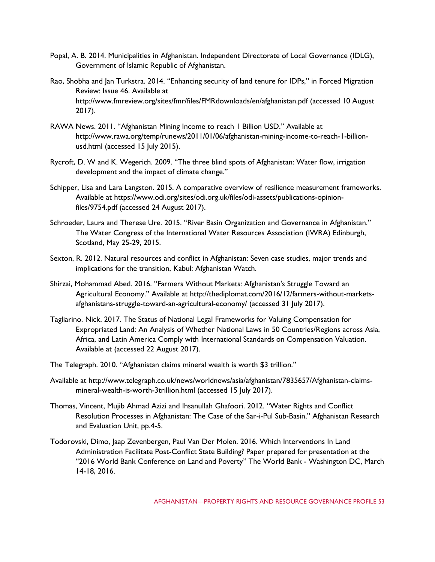- Popal, A. B. 2014. Municipalities in Afghanistan. Independent Directorate of Local Governance (IDLG), Government of Islamic Republic of Afghanistan.
- Rao, Shobha and Jan Turkstra. 2014. "Enhancing security of land tenure for IDPs," in Forced Migration Review: Issue 46. Available at http://www.fmreview.org/sites/fmr/files/FMRdownloads/en/afghanistan.pdf (accessed 10 August 2017).
- RAWA News. 2011. "Afghanistan Mining Income to reach 1 Billion USD." Available at http://www.rawa.org/temp/runews/2011/01/06/afghanistan-mining-income-to-reach-1-billionusd.html (accessed 15 July 2015).
- Rycroft, D. W and K. Wegerich. 2009. "The three blind spots of Afghanistan: Water flow, irrigation development and the impact of climate change."
- Schipper, Lisa and Lara Langston. 2015. A comparative overview of resilience measurement frameworks. Available at https://www.odi.org/sites/odi.org.uk/files/odi-assets/publications-opinionfiles/9754.pdf (accessed 24 August 2017).
- Schroeder, Laura and Therese Ure. 2015. "River Basin Organization and Governance in Afghanistan." The Water Congress of the International Water Resources Association (IWRA) Edinburgh, Scotland, May 25-29, 2015.
- Sexton, R. 2012. Natural resources and conflict in Afghanistan: Seven case studies, major trends and implications for the transition, Kabul: Afghanistan Watch.
- Shirzai, Mohammad Abed. 2016. "Farmers Without Markets: Afghanistan's Struggle Toward an Agricultural Economy." Available at http://thediplomat.com/2016/12/farmers-without-marketsafghanistans-struggle-toward-an-agricultural-economy/ (accessed 31 July 2017).
- Tagliarino. Nick. 2017. The Status of National Legal Frameworks for Valuing Compensation for Expropriated Land: An Analysis of Whether National Laws in 50 Countries/Regions across Asia, Africa, and Latin America Comply with International Standards on Compensation Valuation. Available at (accessed 22 August 2017).
- The Telegraph. 2010. "Afghanistan claims mineral wealth is worth \$3 trillion."
- Available at http://www.telegraph.co.uk/news/worldnews/asia/afghanistan/7835657/Afghanistan-claimsmineral-wealth-is-worth-3trillion.html (accessed 15 July 2017).
- Thomas, Vincent, Mujib Ahmad Azizi and Ihsanullah Ghafoori. 2012. "Water Rights and Conflict Resolution Processes in Afghanistan: The Case of the Sar-i-Pul Sub-Basin," Afghanistan Research and Evaluation Unit, pp.4-5.
- Todorovski, Dimo, Jaap Zevenbergen, Paul Van Der Molen. 2016. Which Interventions In Land Administration Facilitate Post-Conflict State Building? Paper prepared for presentation at the "2016 World Bank Conference on Land and Poverty" The World Bank - Washington DC, March 14-18, 2016.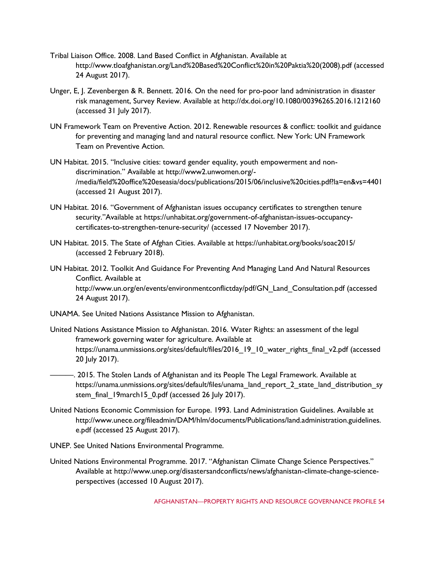- Tribal Liaison Office. 2008. Land Based Conflict in Afghanistan. Available at http://www.tloafghanistan.org/Land%20Based%20Conflict%20in%20Paktia%20(2008).pdf (accessed 24 August 2017).
- Unger, E, J. Zevenbergen & R. Bennett. 2016. On the need for pro-poor land administration in disaster risk management, Survey Review. Available at http://dx.doi.org/10.1080/00396265.2016.1212160 (accessed 31 July 2017).
- UN Framework Team on Preventive Action. 2012. Renewable resources & conflict: toolkit and guidance for preventing and managing land and natural resource conflict. New York: UN Framework Team on Preventive Action.
- UN Habitat. 2015. "Inclusive cities: toward gender equality, youth empowerment and nondiscrimination." Available at http://www2.unwomen.org/- /media/field%20office%20eseasia/docs/publications/2015/06/inclusive%20cities.pdf?la=en&vs=4401 (accessed 21 August 2017).
- UN Habitat. 2016. "Government of Afghanistan issues occupancy certificates to strengthen tenure security."Available at https://unhabitat.org/government-of-afghanistan-issues-occupancycertificates-to-strengthen-tenure-security/ (accessed 17 November 2017).
- UN Habitat. 2015. The State of Afghan Cities. Available at https://unhabitat.org/books/soac2015/ (accessed 2 February 2018).
- UN Habitat. 2012. Toolkit And Guidance For Preventing And Managing Land And Natural Resources Conflict. Available at http://www.un.org/en/events/environmentconflictday/pdf/GN\_Land\_Consultation.pdf (accessed 24 August 2017).
- UNAMA. See United Nations Assistance Mission to Afghanistan.
- United Nations Assistance Mission to Afghanistan. 2016. Water Rights: an assessment of the legal framework governing water for agriculture. Available at https://unama.unmissions.org/sites/default/files/2016\_19\_10\_water\_rights\_final\_v2.pdf (accessed 20 July 2017).
- ———. 2015. The Stolen Lands of Afghanistan and its People The Legal Framework. Available at https://unama.unmissions.org/sites/default/files/unama\_land\_report\_2\_state\_land\_distribution\_sy stem\_final\_19march15\_0.pdf (accessed 26 July 2017).
- United Nations Economic Commission for Europe. 1993. Land Administration Guidelines. Available at http://www.unece.org/fileadmin/DAM/hlm/documents/Publications/land.administration.guidelines. e.pdf (accessed 25 August 2017).
- UNEP. See United Nations Environmental Programme.
- United Nations Environmental Programme. 2017. "Afghanistan Climate Change Science Perspectives." Available at http://www.unep.org/disastersandconflicts/news/afghanistan-climate-change-scienceperspectives (accessed 10 August 2017).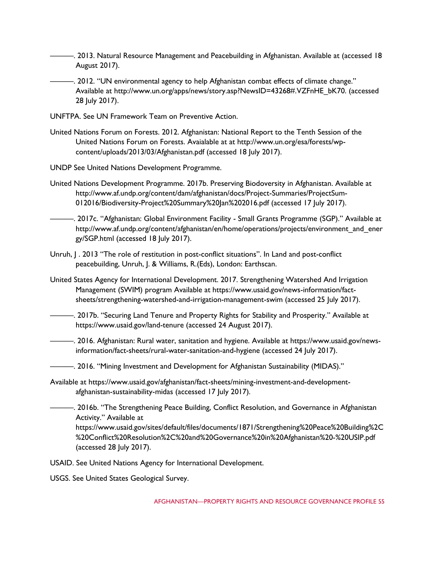- ———. 2013. Natural Resource Management and Peacebuilding in Afghanistan. Available at (accessed 18 August 2017).
	- ———. 2012. "UN environmental agency to help Afghanistan combat effects of climate change." Available at http://www.un.org/apps/news/story.asp?NewsID=43268#.VZFnHE\_bK70. (accessed 28 July 2017).
- UNFTPA. See UN Framework Team on Preventive Action.
- United Nations Forum on Forests. 2012. Afghanistan: National Report to the Tenth Session of the United Nations Forum on Forests. Avaialable at at http://www.un.org/esa/forests/wpcontent/uploads/2013/03/Afghanistan.pdf (accessed 18 July 2017).

UNDP See United Nations Development Programme.

- United Nations Development Programme. 2017b. Preserving Biodoversity in Afghanistan. Available at http://www.af.undp.org/content/dam/afghanistan/docs/Project-Summaries/ProjectSum-012016/Biodiversity-Project%20Summary%20Jan%202016.pdf (accessed 17 July 2017).
- ———. 2017c. "Afghanistan: Global Environment Facility Small Grants Programme (SGP)." Available at http://www.af.undp.org/content/afghanistan/en/home/operations/projects/environment\_and\_ener gy/SGP.html (accessed 18 July 2017).
- Unruh,  $\vert$  . 2013 "The role of restitution in post-conflict situations". In Land and post-conflict peacebuilding, Unruh, J. & Williams, R.(Eds), London: Earthscan.
- United States Agency for International Development. 2017. Strengthening Watershed And Irrigation Management (SWIM) program Available at https://www.usaid.gov/news-information/factsheets/strengthening-watershed-and-irrigation-management-swim (accessed 25 July 2017).
	- ———. 2017b. "Securing Land Tenure and Property Rights for Stability and Prosperity." Available at https://www.usaid.gov/land-tenure (accessed 24 August 2017).
- ———. 2016. Afghanistan: Rural water, sanitation and hygiene. Available at https://www.usaid.gov/newsinformation/fact-sheets/rural-water-sanitation-and-hygiene (accessed 24 July 2017).
- ———. 2016. "Mining Investment and Development for Afghanistan Sustainability (MIDAS)."
- Available at https://www.usaid.gov/afghanistan/fact-sheets/mining-investment-and-developmentafghanistan-sustainability-midas (accessed 17 July 2017).
- ———. 2016b. "The Strengthening Peace Building, Conflict Resolution, and Governance in Afghanistan Activity." Available at https://www.usaid.gov/sites/default/files/documents/1871/Strengthening%20Peace%20Building%2C %20Conflict%20Resolution%2C%20and%20Governance%20in%20Afghanistan%20-%20USIP.pdf (accessed 28 July 2017).

USAID. See United Nations Agency for International Development.

USGS. See United States Geological Survey.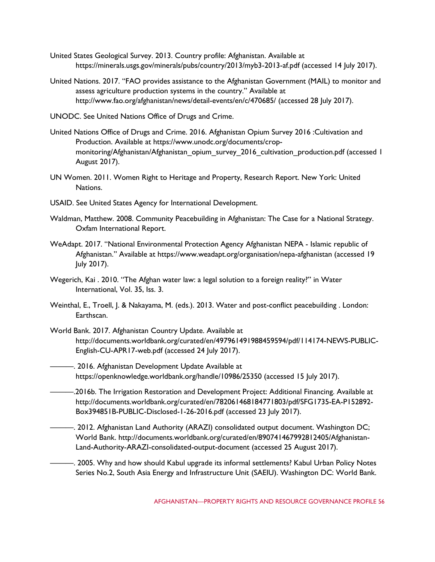- United States Geological Survey. 2013. Country profile: Afghanistan. Available at https://minerals.usgs.gov/minerals/pubs/country/2013/myb3-2013-af.pdf (accessed 14 July 2017).
- United Nations. 2017. "FAO provides assistance to the Afghanistan Government (MAIL) to monitor and assess agriculture production systems in the country." Available at http://www.fao.org/afghanistan/news/detail-events/en/c/470685/ (accessed 28 July 2017).
- UNODC. See United Nations Office of Drugs and Crime.
- United Nations Office of Drugs and Crime. 2016. Afghanistan Opium Survey 2016 :Cultivation and Production. Available at https://www.unodc.org/documents/cropmonitoring/Afghanistan/Afghanistan\_opium\_survey\_2016\_cultivation\_production.pdf (accessed 1 August 2017).
- UN Women. 2011. Women Right to Heritage and Property, Research Report. New York: United Nations.
- USAID. See United States Agency for International Development.
- Waldman, Matthew. 2008. Community Peacebuilding in Afghanistan: The Case for a National Strategy. Oxfam International Report.
- WeAdapt. 2017. "National Environmental Protection Agency Afghanistan NEPA Islamic republic of Afghanistan." Available at https://www.weadapt.org/organisation/nepa-afghanistan (accessed 19 July 2017).
- Wegerich, Kai . 2010. "The Afghan water law: a legal solution to a foreign reality?" in Water International, Vol. 35, Iss. 3.
- Weinthal, E., Troell, J. & Nakayama, M. (eds.). 2013. Water and post-conflict peacebuilding . London: Earthscan.
- World Bank. 2017. Afghanistan Country Update. Available at http://documents.worldbank.org/curated/en/497961491988459594/pdf/114174-NEWS-PUBLIC-English-CU-APR17-web.pdf (accessed 24 July 2017).
- ———. 2016. Afghanistan Development Update Available at https://openknowledge.worldbank.org/handle/10986/25350 (accessed 15 July 2017).
- ———.2016b. The Irrigation Restoration and Development Project: Additional Financing. Available at http://documents.worldbank.org/curated/en/782061468184771803/pdf/SFG1735-EA-P152892- Box394851B-PUBLIC-Disclosed-1-26-2016.pdf (accessed 23 July 2017).
- ———. 2012. Afghanistan Land Authority (ARAZI) consolidated output document. Washington DC; World Bank. http://documents.worldbank.org/curated/en/890741467992812405/Afghanistan-Land-Authority-ARAZI-consolidated-output-document (accessed 25 August 2017).
- ———. 2005. Why and how should Kabul upgrade its informal settlements? Kabul Urban Policy Notes Series No.2, South Asia Energy and Infrastructure Unit (SAEIU). Washington DC: World Bank.